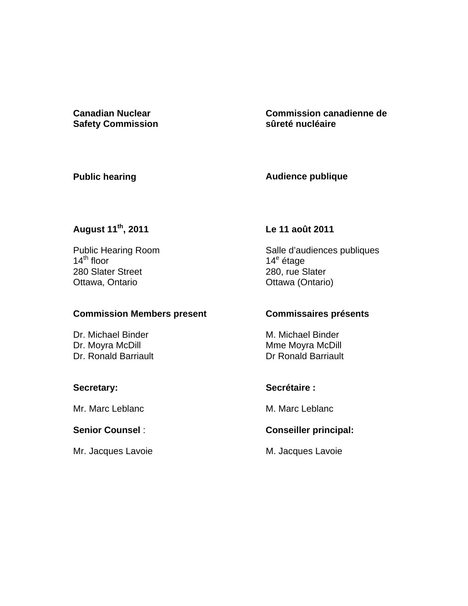**Canadian Nuclear Safety Commission**  **Commission canadienne de sûreté nucléaire** 

#### **Public hearing**

**Audience publique** 

# **August 11th, 2011**

 Public Hearing Room  $14^{\text{th}}$  floor 280 Slater Street Ottawa, Ontario

#### **Commission Members present**

Dr. Michael Binder<br>Dr. Moyra McDill Dr. Ronald Barriault

## **Secretary:**

Mr. Marc Leblanc

## **Senior Counsel** :

Mr. Jacques Lavoie

## **Le 11 août 2011**

Salle d'audiences publiques 14<sup>e</sup> étage 280, rue Slater Ottawa (Ontario)

## **Commissaires présents**

M. Michael Binder Mme Moyra McDill Dr Ronald Barriault

## **Secrétaire :**

M. Marc Leblanc

## **Conseiller principal:**

M. Jacques Lavoie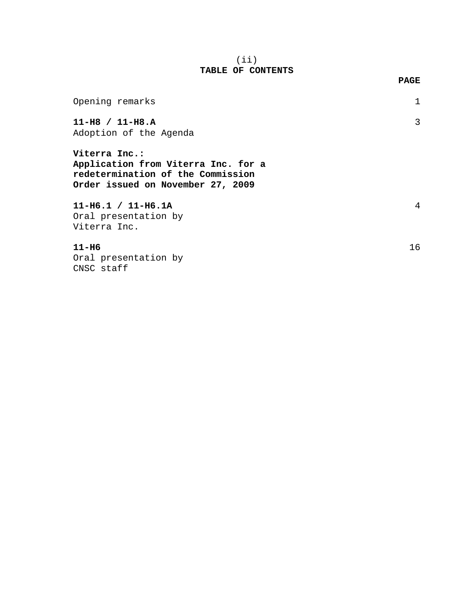#### (ii) **TABLE OF CONTENTS**

| Opening remarks                                                                                                                |    |
|--------------------------------------------------------------------------------------------------------------------------------|----|
| $11-H8 / 11-H8.A$<br>Adoption of the Agenda                                                                                    | 3  |
| Viterra Inc.:<br>Application from Viterra Inc. for a<br>redetermination of the Commission<br>Order issued on November 27, 2009 |    |
| $11-H6.1 / 11-H6.1A$<br>Oral presentation by<br>Viterra Inc.                                                                   | 4  |
| $11-H6$<br>Oral presentation by<br>CNSC staff                                                                                  | 16 |

#### **PAGE**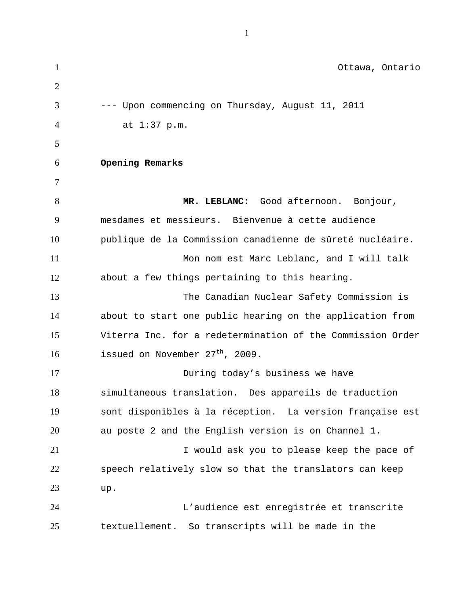1 2 3 4 5 6 7 8 9 10 11 12 13 14 15 16 17 18 19 20 21 22 23 24 25 Ottawa, Ontario --- Upon commencing on Thursday, August 11, 2011 at 1:37 p.m. **Opening Remarks MR. LEBLANC:** Good afternoon. Bonjour, mesdames et messieurs. Bienvenue à cette audience publique de la Commission canadienne de sûreté nucléaire. Mon nom est Marc Leblanc, and I will talk about a few things pertaining to this hearing. The Canadian Nuclear Safety Commission is about to start one public hearing on the application from Viterra Inc. for a redetermination of the Commission Order issued on November 27<sup>th</sup>, 2009. During today's business we have simultaneous translation. Des appareils de traduction sont disponibles à la réception. La version française est au poste 2 and the English version is on Channel 1. I would ask you to please keep the pace of speech relatively slow so that the translators can keep up. L'audience est enregistrée et transcrite textuellement. So transcripts will be made in the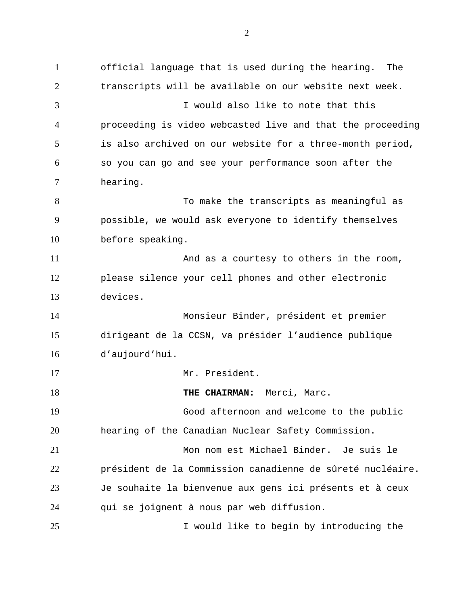1 2 3 4 5 6 7 8 9 10 11 12 13 14 15 16 17 18 19 20 21 22 23 24 25 official language that is used during the hearing. The transcripts will be available on our website next week. I would also like to note that this proceeding is video webcasted live and that the proceeding is also archived on our website for a three-month period, so you can go and see your performance soon after the hearing. To make the transcripts as meaningful as possible, we would ask everyone to identify themselves before speaking. And as a courtesy to others in the room, please silence your cell phones and other electronic devices. Monsieur Binder, président et premier dirigeant de la CCSN, va présider l'audience publique d'aujourd'hui. Mr. President. **THE CHAIRMAN:** Merci, Marc. Good afternoon and welcome to the public hearing of the Canadian Nuclear Safety Commission. Mon nom est Michael Binder. Je suis le président de la Commission canadienne de sûreté nucléaire. Je souhaite la bienvenue aux gens ici présents et à ceux qui se joignent à nous par web diffusion. I would like to begin by introducing the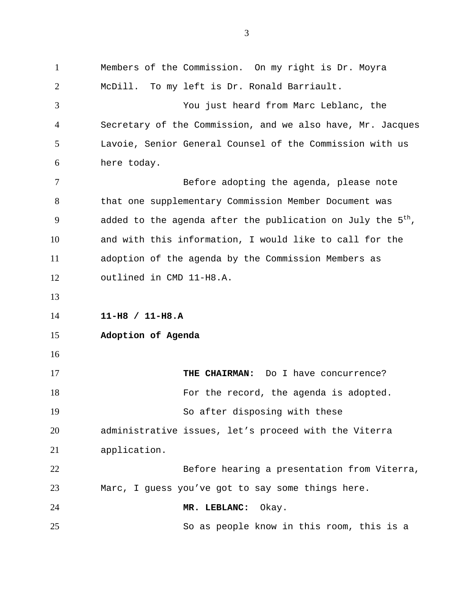1 2 3 4 5 6 7 8 9 10 11 12 13 14 15 16 17 18 19 20 21 22 23 24 25 Members of the Commission. On my right is Dr. Moyra McDill. To my left is Dr. Ronald Barriault. You just heard from Marc Leblanc, the Secretary of the Commission, and we also have, Mr. Jacques Lavoie, Senior General Counsel of the Commission with us here today. Before adopting the agenda, please note that one supplementary Commission Member Document was added to the agenda after the publication on July the  $5<sup>th</sup>$ , and with this information, I would like to call for the adoption of the agenda by the Commission Members as outlined in CMD 11-H8.A. **11-H8 / 11-H8.A Adoption of Agenda THE CHAIRMAN:** Do I have concurrence? For the record, the agenda is adopted. So after disposing with these administrative issues, let's proceed with the Viterra application. Before hearing a presentation from Viterra, Marc, I guess you've got to say some things here. **MR. LEBLANC:** Okay. So as people know in this room, this is a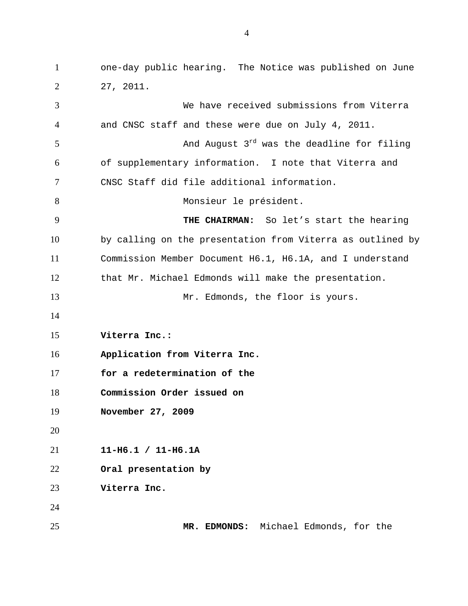1 2 3 4 5 6 7 8 9 10 11 12 13 14 15 16 17 18 19 20 21 22 23 24 25 one-day public hearing. The Notice was published on June 27, 2011. We have received submissions from Viterra and CNSC staff and these were due on July 4, 2011. And August  $3<sup>rd</sup>$  was the deadline for filing of supplementary information. I note that Viterra and CNSC Staff did file additional information. Monsieur le président.  **THE CHAIRMAN:** So let's start the hearing by calling on the presentation from Viterra as outlined by Commission Member Document H6.1, H6.1A, and I understand that Mr. Michael Edmonds will make the presentation. Mr. Edmonds, the floor is yours. **Viterra Inc.: Application from Viterra Inc. for a redetermination of the Commission Order issued on November 27, 2009 11-H6.1 / 11-H6.1A Oral presentation by Viterra Inc. MR. EDMONDS:** Michael Edmonds, for the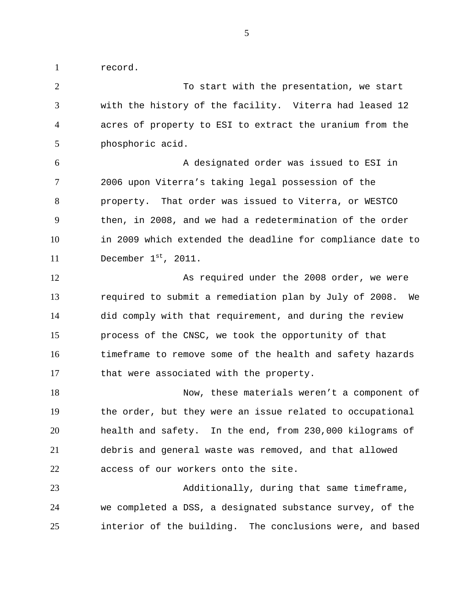1 record.

2 3 4 5 6 7 8 9 10 11 12 13 14 15 16 17 18 19 20 21 22 23 24 25 To start with the presentation, we start with the history of the facility. Viterra had leased 12 acres of property to ESI to extract the uranium from the phosphoric acid. A designated order was issued to ESI in 2006 upon Viterra's taking legal possession of the property. That order was issued to Viterra, or WESTCO then, in 2008, and we had a redetermination of the order in 2009 which extended the deadline for compliance date to December 1st, 2011. As required under the 2008 order, we were required to submit a remediation plan by July of 2008. We did comply with that requirement, and during the review process of the CNSC, we took the opportunity of that timeframe to remove some of the health and safety hazards that were associated with the property. Now, these materials weren't a component of the order, but they were an issue related to occupational health and safety. In the end, from 230,000 kilograms of debris and general waste was removed, and that allowed access of our workers onto the site. Additionally, during that same timeframe, we completed a DSS, a designated substance survey, of the interior of the building. The conclusions were, and based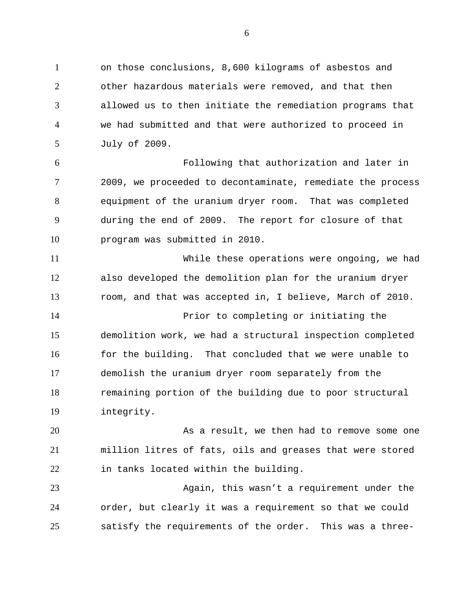1 2 3 4 5 on those conclusions, 8,600 kilograms of asbestos and other hazardous materials were removed, and that then allowed us to then initiate the remediation programs that we had submitted and that were authorized to proceed in July of 2009.

6 7 8 9 10 Following that authorization and later in 2009, we proceeded to decontaminate, remediate the process equipment of the uranium dryer room. That was completed during the end of 2009. The report for closure of that program was submitted in 2010.

11 12 13 While these operations were ongoing, we had also developed the demolition plan for the uranium dryer room, and that was accepted in, I believe, March of 2010.

14 15 16 17 18 19 Prior to completing or initiating the demolition work, we had a structural inspection completed for the building. That concluded that we were unable to demolish the uranium dryer room separately from the remaining portion of the building due to poor structural integrity.

20 21 22 As a result, we then had to remove some one million litres of fats, oils and greases that were stored in tanks located within the building.

23 24 25 Again, this wasn't a requirement under the order, but clearly it was a requirement so that we could satisfy the requirements of the order. This was a three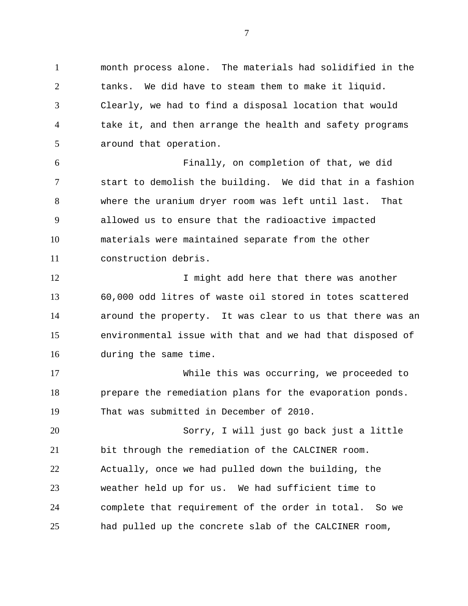1 2 3 4 5 month process alone. The materials had solidified in the tanks. We did have to steam them to make it liquid. Clearly, we had to find a disposal location that would take it, and then arrange the health and safety programs around that operation.

6 7 8 9 10 11 Finally, on completion of that, we did start to demolish the building. We did that in a fashion where the uranium dryer room was left until last. That allowed us to ensure that the radioactive impacted materials were maintained separate from the other construction debris.

12 13 14 15 16 I might add here that there was another 60,000 odd litres of waste oil stored in totes scattered around the property. It was clear to us that there was an environmental issue with that and we had that disposed of during the same time.

17 18 19 While this was occurring, we proceeded to prepare the remediation plans for the evaporation ponds. That was submitted in December of 2010.

20 21 22 23 24 25 Sorry, I will just go back just a little bit through the remediation of the CALCINER room. Actually, once we had pulled down the building, the weather held up for us. We had sufficient time to complete that requirement of the order in total. So we had pulled up the concrete slab of the CALCINER room,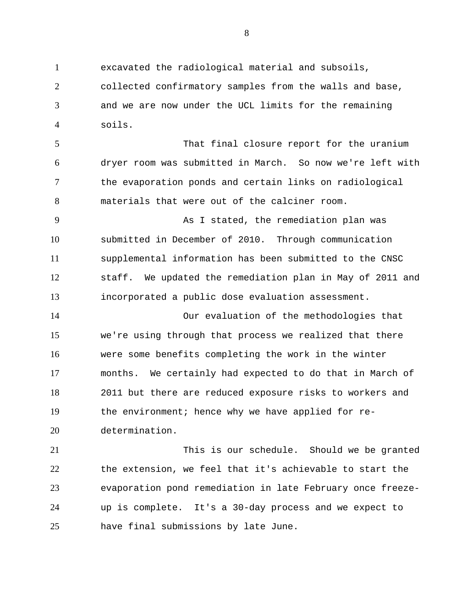1 2 3 4 excavated the radiological material and subsoils, collected confirmatory samples from the walls and base, and we are now under the UCL limits for the remaining soils.

5 6 7 8 That final closure report for the uranium dryer room was submitted in March. So now we're left with the evaporation ponds and certain links on radiological materials that were out of the calciner room.

9 10 11 12 13 As I stated, the remediation plan was submitted in December of 2010. Through communication supplemental information has been submitted to the CNSC staff. We updated the remediation plan in May of 2011 and incorporated a public dose evaluation assessment.

14 15 16 17 18 19 20 Our evaluation of the methodologies that we're using through that process we realized that there were some benefits completing the work in the winter months. We certainly had expected to do that in March of 2011 but there are reduced exposure risks to workers and the environment; hence why we have applied for redetermination.

21 22 23 24 25 This is our schedule. Should we be granted the extension, we feel that it's achievable to start the evaporation pond remediation in late February once freezeup is complete. It's a 30-day process and we expect to have final submissions by late June.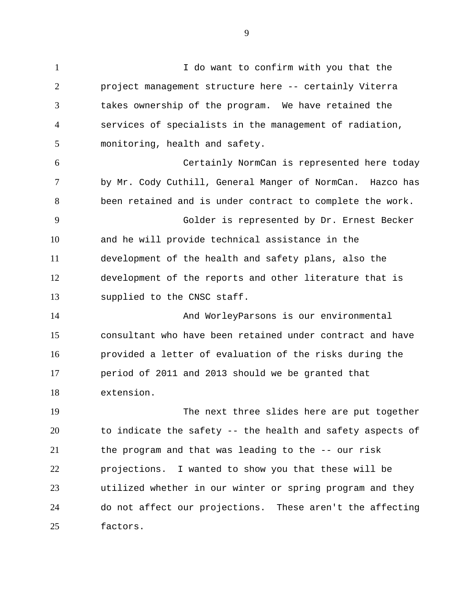1 2 3 4 5 6 7 8 9 10 11 12 13 14 I do want to confirm with you that the project management structure here -- certainly Viterra takes ownership of the program. We have retained the services of specialists in the management of radiation, monitoring, health and safety. Certainly NormCan is represented here today by Mr. Cody Cuthill, General Manger of NormCan. Hazco has been retained and is under contract to complete the work. Golder is represented by Dr. Ernest Becker and he will provide technical assistance in the development of the health and safety plans, also the development of the reports and other literature that is supplied to the CNSC staff. And WorleyParsons is our environmental

15 16 17 18 consultant who have been retained under contract and have provided a letter of evaluation of the risks during the period of 2011 and 2013 should we be granted that extension.

19 20 21 22 23 24 25 The next three slides here are put together to indicate the safety -- the health and safety aspects of the program and that was leading to the -- our risk projections. I wanted to show you that these will be utilized whether in our winter or spring program and they do not affect our projections. These aren't the affecting factors.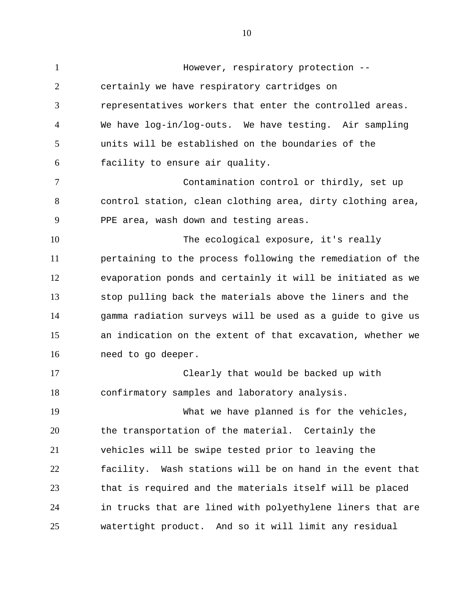1 2 3 4 5 6 7 8 9 10 11 12 13 14 15 16 17 18 19 20 21 22 23 24 25 However, respiratory protection - certainly we have respiratory cartridges on representatives workers that enter the controlled areas. We have log-in/log-outs. We have testing. Air sampling units will be established on the boundaries of the facility to ensure air quality. Contamination control or thirdly, set up control station, clean clothing area, dirty clothing area, PPE area, wash down and testing areas. The ecological exposure, it's really pertaining to the process following the remediation of the evaporation ponds and certainly it will be initiated as we stop pulling back the materials above the liners and the gamma radiation surveys will be used as a guide to give us an indication on the extent of that excavation, whether we need to go deeper. Clearly that would be backed up with confirmatory samples and laboratory analysis. What we have planned is for the vehicles, the transportation of the material. Certainly the vehicles will be swipe tested prior to leaving the facility. Wash stations will be on hand in the event that that is required and the materials itself will be placed in trucks that are lined with polyethylene liners that are watertight product. And so it will limit any residual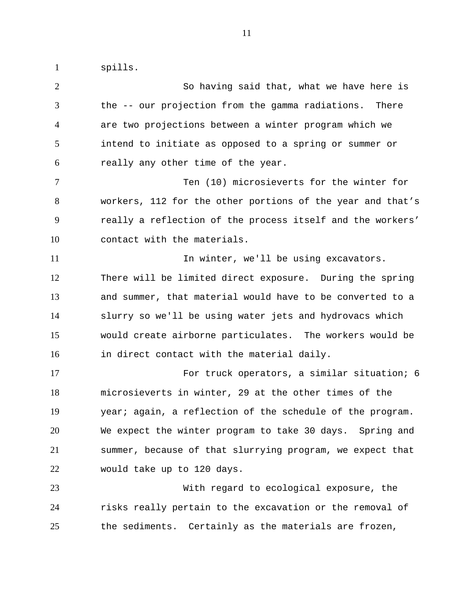spills.

1

2 3 4 5 6 7 8 9 10 11 12 13 14 15 16 17 18 19 20 21 22 23 24 25 So having said that, what we have here is the -- our projection from the gamma radiations. There are two projections between a winter program which we intend to initiate as opposed to a spring or summer or really any other time of the year. Ten (10) microsieverts for the winter for workers, 112 for the other portions of the year and that's really a reflection of the process itself and the workers' contact with the materials. In winter, we'll be using excavators. There will be limited direct exposure. During the spring and summer, that material would have to be converted to a slurry so we'll be using water jets and hydrovacs which would create airborne particulates. The workers would be in direct contact with the material daily. For truck operators, a similar situation; 6 microsieverts in winter, 29 at the other times of the year; again, a reflection of the schedule of the program. We expect the winter program to take 30 days. Spring and summer, because of that slurrying program, we expect that would take up to 120 days. With regard to ecological exposure, the risks really pertain to the excavation or the removal of the sediments. Certainly as the materials are frozen,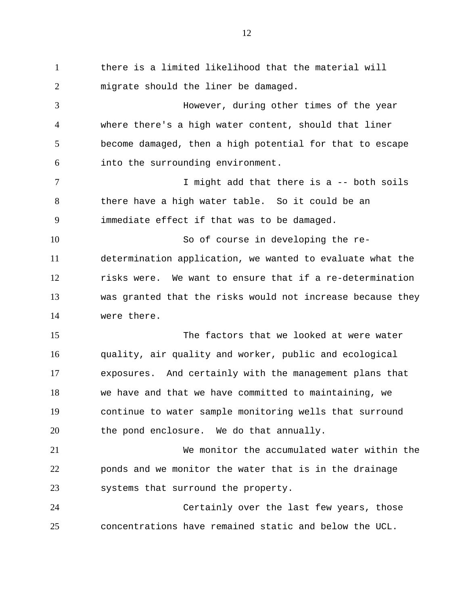1 2 3 4 5 6 7 8 9 10 11 12 13 14 15 16 17 18 19 20 21 22 23 24 25 there is a limited likelihood that the material will migrate should the liner be damaged. However, during other times of the year where there's a high water content, should that liner become damaged, then a high potential for that to escape into the surrounding environment. I might add that there is a -- both soils there have a high water table. So it could be an immediate effect if that was to be damaged. So of course in developing the redetermination application, we wanted to evaluate what the risks were. We want to ensure that if a re-determination was granted that the risks would not increase because they were there. The factors that we looked at were water quality, air quality and worker, public and ecological exposures. And certainly with the management plans that we have and that we have committed to maintaining, we continue to water sample monitoring wells that surround the pond enclosure. We do that annually. We monitor the accumulated water within the ponds and we monitor the water that is in the drainage systems that surround the property. Certainly over the last few years, those concentrations have remained static and below the UCL.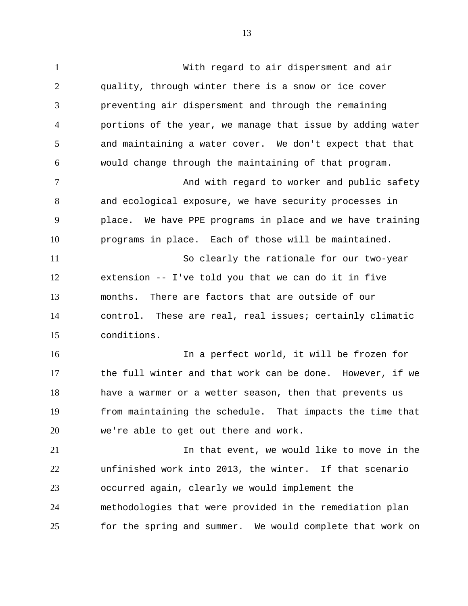1 2 3 4 5 6 7 8 9 10 11 12 13 14 15 16 17 18 19 20 21 22 23 24 25 With regard to air dispersment and air quality, through winter there is a snow or ice cover preventing air dispersment and through the remaining portions of the year, we manage that issue by adding water and maintaining a water cover. We don't expect that that would change through the maintaining of that program. And with regard to worker and public safety and ecological exposure, we have security processes in place. We have PPE programs in place and we have training programs in place. Each of those will be maintained. So clearly the rationale for our two-year extension -- I've told you that we can do it in five months. There are factors that are outside of our control. These are real, real issues; certainly climatic conditions. In a perfect world, it will be frozen for the full winter and that work can be done. However, if we have a warmer or a wetter season, then that prevents us from maintaining the schedule. That impacts the time that we're able to get out there and work. In that event, we would like to move in the unfinished work into 2013, the winter. If that scenario occurred again, clearly we would implement the methodologies that were provided in the remediation plan for the spring and summer. We would complete that work on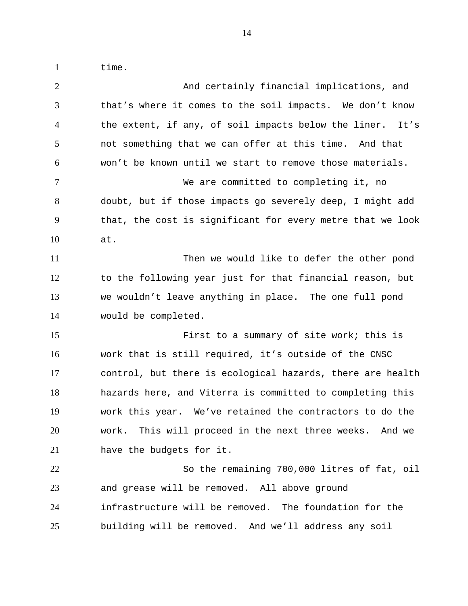time.

1

| $\overline{2}$ | And certainly financial implications, and                  |
|----------------|------------------------------------------------------------|
| 3              | that's where it comes to the soil impacts. We don't know   |
| $\overline{4}$ | the extent, if any, of soil impacts below the liner. It's  |
| 5              | not something that we can offer at this time. And that     |
| 6              | won't be known until we start to remove those materials.   |
| $\tau$         | We are committed to completing it, no                      |
| 8              | doubt, but if those impacts go severely deep, I might add  |
| 9              | that, the cost is significant for every metre that we look |
| 10             | at.                                                        |
| 11             | Then we would like to defer the other pond                 |
| 12             | to the following year just for that financial reason, but  |
| 13             | we wouldn't leave anything in place. The one full pond     |
| 14             | would be completed.                                        |
| 15             | First to a summary of site work; this is                   |
|                |                                                            |
| 16             | work that is still required, it's outside of the CNSC      |
| 17             | control, but there is ecological hazards, there are health |
| 18             | hazards here, and Viterra is committed to completing this  |
| 19             | work this year. We've retained the contractors to do the   |
| 20             | work. This will proceed in the next three weeks. And we    |
| 21             | have the budgets for it.                                   |
| 22             | So the remaining 700,000 litres of fat, oil                |
| 23             | and grease will be removed. All above ground               |
| 24             | infrastructure will be removed. The foundation for the     |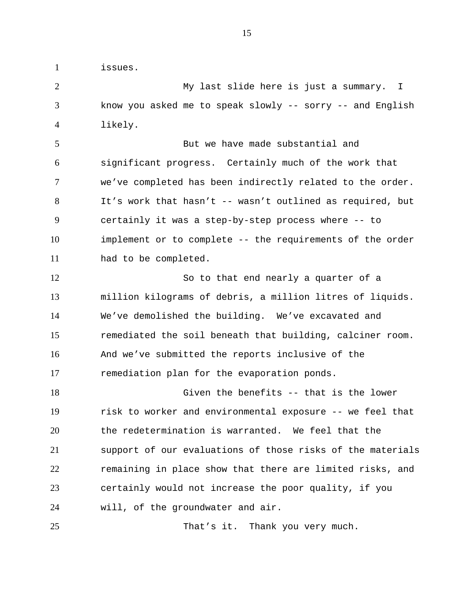issues.

1

2 3 4 My last slide here is just a summary. I know you asked me to speak slowly -- sorry -- and English likely.

5 6 7 8 9 10 11 But we have made substantial and significant progress. Certainly much of the work that we've completed has been indirectly related to the order. It's work that hasn't -- wasn't outlined as required, but certainly it was a step-by-step process where -- to implement or to complete -- the requirements of the order had to be completed.

12 13 14 15 16 17 So to that end nearly a quarter of a million kilograms of debris, a million litres of liquids. We've demolished the building. We've excavated and remediated the soil beneath that building, calciner room. And we've submitted the reports inclusive of the remediation plan for the evaporation ponds.

18 19 20 21 22 23 24 Given the benefits -- that is the lower risk to worker and environmental exposure -- we feel that the redetermination is warranted. We feel that the support of our evaluations of those risks of the materials remaining in place show that there are limited risks, and certainly would not increase the poor quality, if you will, of the groundwater and air.

25 That's it. Thank you very much.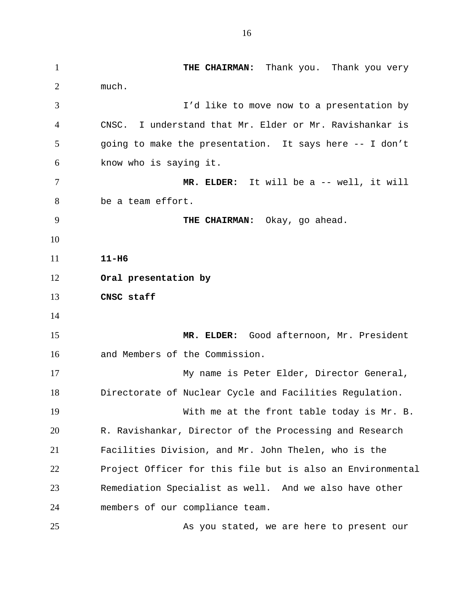1 2 3 4 5 6 7 8 9 10 11 12 13 14 15 16 17 18 19 20 21 22 23 24 25 **THE CHAIRMAN:** Thank you. Thank you very much. I'd like to move now to a presentation by CNSC. I understand that Mr. Elder or Mr. Ravishankar is going to make the presentation. It says here -- I don't know who is saying it. **MR. ELDER:** It will be a -- well, it will be a team effort.  **THE CHAIRMAN:** Okay, go ahead. **11-H6 Oral presentation by CNSC staff MR. ELDER:** Good afternoon, Mr. President and Members of the Commission. My name is Peter Elder, Director General, Directorate of Nuclear Cycle and Facilities Regulation. With me at the front table today is Mr. B. R. Ravishankar, Director of the Processing and Research Facilities Division, and Mr. John Thelen, who is the Project Officer for this file but is also an Environmental Remediation Specialist as well. And we also have other members of our compliance team.

As you stated, we are here to present our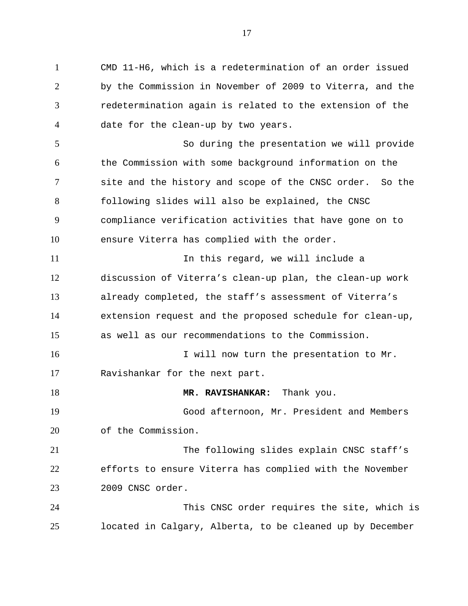1 2 3 4 5 6 7 8 9 10 11 12 13 14 15 16 17 18 19 20 21 22 23 24 25 CMD 11-H6, which is a redetermination of an order issued by the Commission in November of 2009 to Viterra, and the redetermination again is related to the extension of the date for the clean-up by two years. So during the presentation we will provide the Commission with some background information on the site and the history and scope of the CNSC order. So the following slides will also be explained, the CNSC compliance verification activities that have gone on to ensure Viterra has complied with the order. In this regard, we will include a discussion of Viterra's clean-up plan, the clean-up work already completed, the staff's assessment of Viterra's extension request and the proposed schedule for clean-up, as well as our recommendations to the Commission. I will now turn the presentation to Mr. Ravishankar for the next part. **MR. RAVISHANKAR:** Thank you. Good afternoon, Mr. President and Members of the Commission. The following slides explain CNSC staff's efforts to ensure Viterra has complied with the November 2009 CNSC order. This CNSC order requires the site, which is located in Calgary, Alberta, to be cleaned up by December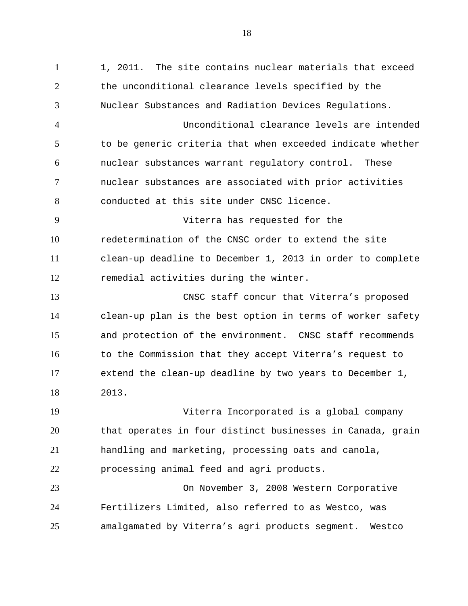1 2 3 4 5 6 7 8 9 10 11 12 13 14 15 16 17 18 19 20 21 22 23 24 25 1, 2011. The site contains nuclear materials that exceed the unconditional clearance levels specified by the Nuclear Substances and Radiation Devices Regulations. Unconditional clearance levels are intended to be generic criteria that when exceeded indicate whether nuclear substances warrant regulatory control. These nuclear substances are associated with prior activities conducted at this site under CNSC licence. Viterra has requested for the redetermination of the CNSC order to extend the site clean-up deadline to December 1, 2013 in order to complete remedial activities during the winter. CNSC staff concur that Viterra's proposed clean-up plan is the best option in terms of worker safety and protection of the environment. CNSC staff recommends to the Commission that they accept Viterra's request to extend the clean-up deadline by two years to December 1, 2013. Viterra Incorporated is a global company that operates in four distinct businesses in Canada, grain handling and marketing, processing oats and canola, processing animal feed and agri products. On November 3, 2008 Western Corporative Fertilizers Limited, also referred to as Westco, was amalgamated by Viterra's agri products segment. Westco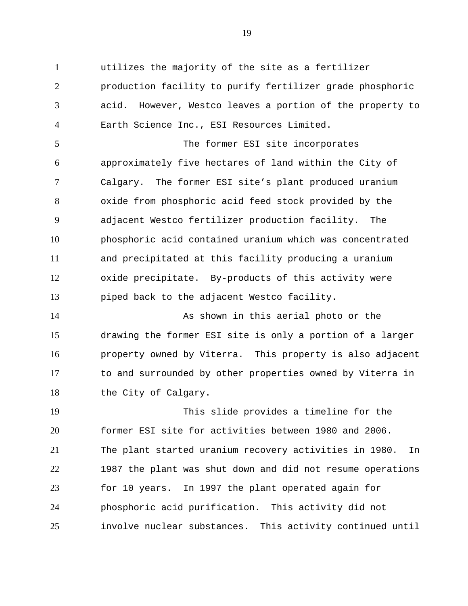1 2 3 4 utilizes the majority of the site as a fertilizer production facility to purify fertilizer grade phosphoric acid. However, Westco leaves a portion of the property to Earth Science Inc., ESI Resources Limited.

5 6 7 8 9 10 11 12 13 The former ESI site incorporates approximately five hectares of land within the City of Calgary. The former ESI site's plant produced uranium oxide from phosphoric acid feed stock provided by the adjacent Westco fertilizer production facility. The phosphoric acid contained uranium which was concentrated and precipitated at this facility producing a uranium oxide precipitate. By-products of this activity were piped back to the adjacent Westco facility.

14 15 16 17 18 As shown in this aerial photo or the drawing the former ESI site is only a portion of a larger property owned by Viterra. This property is also adjacent to and surrounded by other properties owned by Viterra in the City of Calgary.

19 20 21 22 23 24 25 This slide provides a timeline for the former ESI site for activities between 1980 and 2006. The plant started uranium recovery activities in 1980. In 1987 the plant was shut down and did not resume operations for 10 years. In 1997 the plant operated again for phosphoric acid purification. This activity did not involve nuclear substances. This activity continued until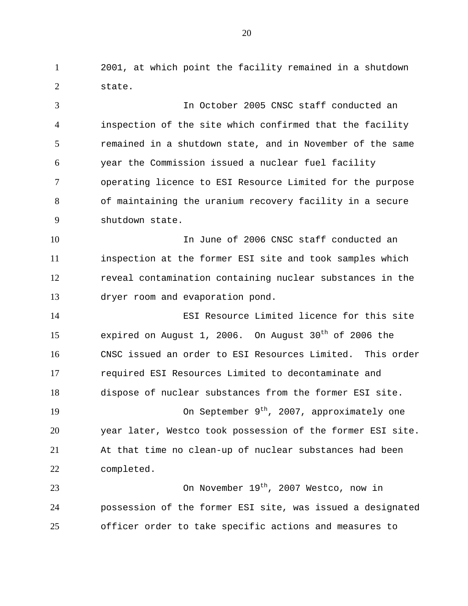1 2 2001, at which point the facility remained in a shutdown state.

3 4 5 6 7 8 9 In October 2005 CNSC staff conducted an inspection of the site which confirmed that the facility remained in a shutdown state, and in November of the same year the Commission issued a nuclear fuel facility operating licence to ESI Resource Limited for the purpose of maintaining the uranium recovery facility in a secure shutdown state.

10 11 12 13 In June of 2006 CNSC staff conducted an inspection at the former ESI site and took samples which reveal contamination containing nuclear substances in the dryer room and evaporation pond.

14 15 16 17 18 ESI Resource Limited licence for this site expired on August 1, 2006. On August  $30<sup>th</sup>$  of 2006 the CNSC issued an order to ESI Resources Limited. This order required ESI Resources Limited to decontaminate and dispose of nuclear substances from the former ESI site.

19 20 21 22 On September 9<sup>th</sup>, 2007, approximately one year later, Westco took possession of the former ESI site. At that time no clean-up of nuclear substances had been completed.

23 24 25 On November 19<sup>th</sup>, 2007 Westco, now in possession of the former ESI site, was issued a designated officer order to take specific actions and measures to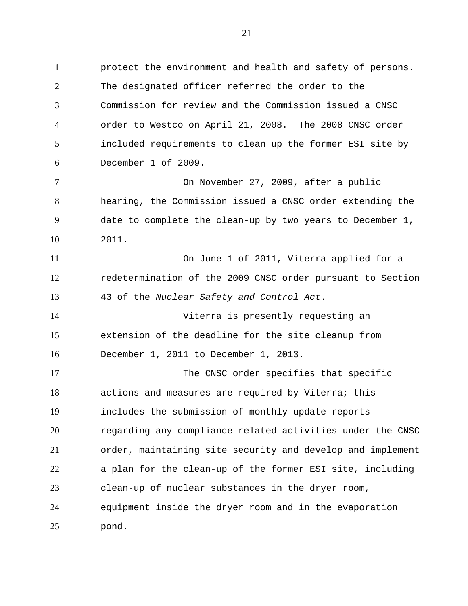1 2 3 4 5 6 protect the environment and health and safety of persons. The designated officer referred the order to the Commission for review and the Commission issued a CNSC order to Westco on April 21, 2008. The 2008 CNSC order included requirements to clean up the former ESI site by December 1 of 2009.

7 8 9 10 On November 27, 2009, after a public hearing, the Commission issued a CNSC order extending the date to complete the clean-up by two years to December 1, 2011.

11 12 13 On June 1 of 2011, Viterra applied for a redetermination of the 2009 CNSC order pursuant to Section 43 of the *Nuclear Safety and Control Act*.

14 15 16 Viterra is presently requesting an extension of the deadline for the site cleanup from December 1, 2011 to December 1, 2013.

17 18 19 20 21 22 23 24 25 The CNSC order specifies that specific actions and measures are required by Viterra; this includes the submission of monthly update reports regarding any compliance related activities under the CNSC order, maintaining site security and develop and implement a plan for the clean-up of the former ESI site, including clean-up of nuclear substances in the dryer room, equipment inside the dryer room and in the evaporation pond.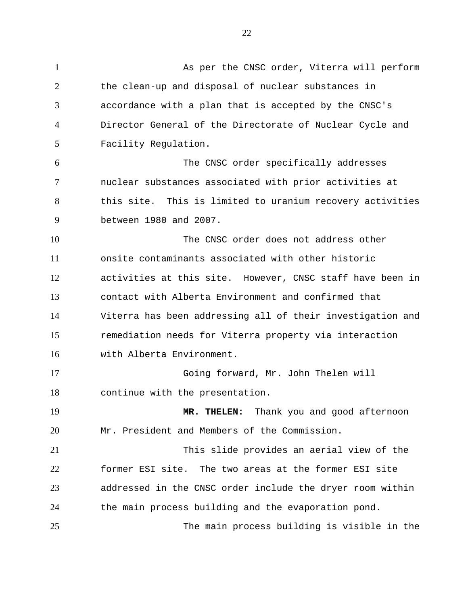1 2 3 4 5 6 7 8 9 10 11 12 13 14 15 16 17 18 19 20 21 22 23 24 25 As per the CNSC order, Viterra will perform the clean-up and disposal of nuclear substances in accordance with a plan that is accepted by the CNSC's Director General of the Directorate of Nuclear Cycle and Facility Regulation. The CNSC order specifically addresses nuclear substances associated with prior activities at this site. This is limited to uranium recovery activities between 1980 and 2007. The CNSC order does not address other onsite contaminants associated with other historic activities at this site. However, CNSC staff have been in contact with Alberta Environment and confirmed that Viterra has been addressing all of their investigation and remediation needs for Viterra property via interaction with Alberta Environment. Going forward, Mr. John Thelen will continue with the presentation. **MR. THELEN:** Thank you and good afternoon Mr. President and Members of the Commission. This slide provides an aerial view of the former ESI site. The two areas at the former ESI site addressed in the CNSC order include the dryer room within the main process building and the evaporation pond. The main process building is visible in the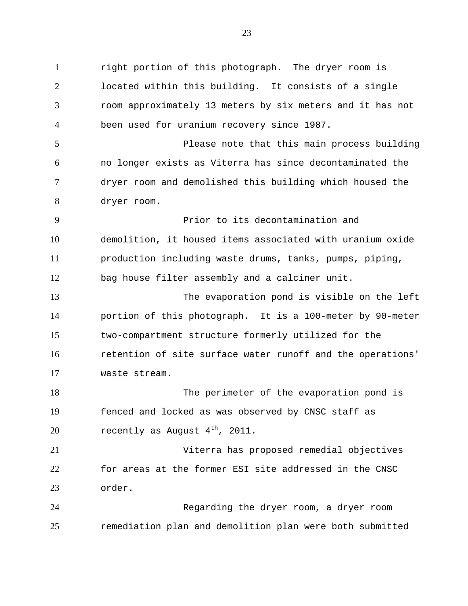1 2 3 4 5 6 7 8 9 10 11 12 13 14 15 16 17 18 19 20 21 22 23 24 25 right portion of this photograph. The dryer room is located within this building. It consists of a single room approximately 13 meters by six meters and it has not been used for uranium recovery since 1987. Please note that this main process building no longer exists as Viterra has since decontaminated the dryer room and demolished this building which housed the dryer room. Prior to its decontamination and demolition, it housed items associated with uranium oxide production including waste drums, tanks, pumps, piping, bag house filter assembly and a calciner unit. The evaporation pond is visible on the left portion of this photograph. It is a 100-meter by 90-meter two-compartment structure formerly utilized for the retention of site surface water runoff and the operations' waste stream. The perimeter of the evaporation pond is fenced and locked as was observed by CNSC staff as recently as August  $4<sup>th</sup>$ , 2011. Viterra has proposed remedial objectives for areas at the former ESI site addressed in the CNSC order. Regarding the dryer room, a dryer room remediation plan and demolition plan were both submitted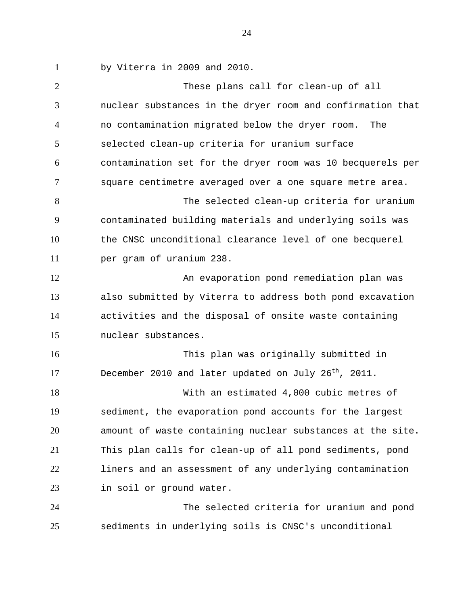1 by Viterra in 2009 and 2010.

2 3 4 5 6 7 8 9 10 11 12 13 14 15 16 17 18 19 20 21 22 23 24 25 These plans call for clean-up of all nuclear substances in the dryer room and confirmation that no contamination migrated below the dryer room. The selected clean-up criteria for uranium surface contamination set for the dryer room was 10 becquerels per square centimetre averaged over a one square metre area. The selected clean-up criteria for uranium contaminated building materials and underlying soils was the CNSC unconditional clearance level of one becquerel per gram of uranium 238. An evaporation pond remediation plan was also submitted by Viterra to address both pond excavation activities and the disposal of onsite waste containing nuclear substances. This plan was originally submitted in December 2010 and later updated on July 26<sup>th</sup>, 2011. With an estimated 4,000 cubic metres of sediment, the evaporation pond accounts for the largest amount of waste containing nuclear substances at the site. This plan calls for clean-up of all pond sediments, pond liners and an assessment of any underlying contamination in soil or ground water. The selected criteria for uranium and pond

sediments in underlying soils is CNSC's unconditional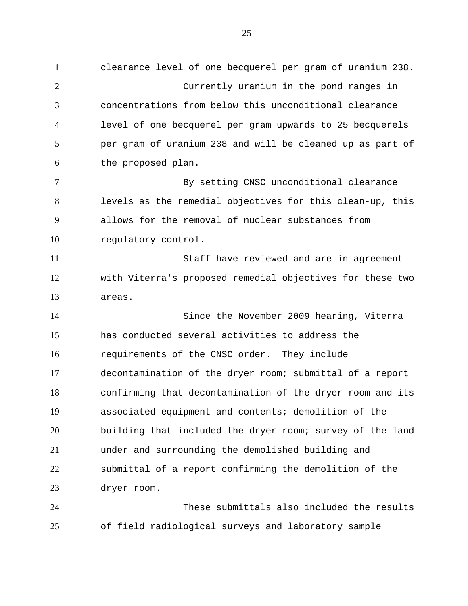1 2 3 4 5 6 7 8 9 10 11 12 13 14 15 16 17 18 19 20 21 22 23 24 clearance level of one becquerel per gram of uranium 238. Currently uranium in the pond ranges in concentrations from below this unconditional clearance level of one becquerel per gram upwards to 25 becquerels per gram of uranium 238 and will be cleaned up as part of the proposed plan. By setting CNSC unconditional clearance levels as the remedial objectives for this clean-up, this allows for the removal of nuclear substances from regulatory control. Staff have reviewed and are in agreement with Viterra's proposed remedial objectives for these two areas. Since the November 2009 hearing, Viterra has conducted several activities to address the requirements of the CNSC order. They include decontamination of the dryer room; submittal of a report confirming that decontamination of the dryer room and its associated equipment and contents; demolition of the building that included the dryer room; survey of the land under and surrounding the demolished building and submittal of a report confirming the demolition of the dryer room. These submittals also included the results

25 of field radiological surveys and laboratory sample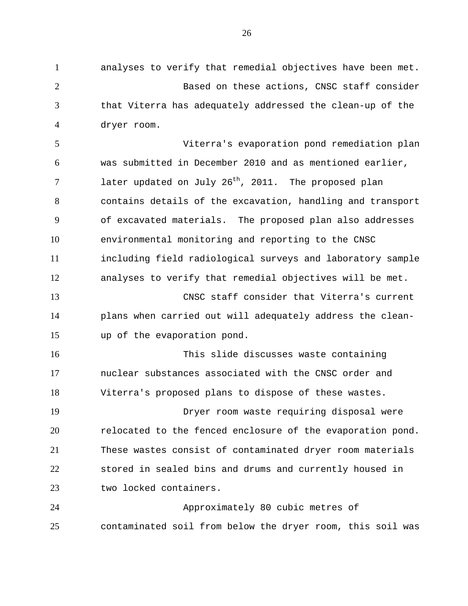1 2 3 4 analyses to verify that remedial objectives have been met. Based on these actions, CNSC staff consider that Viterra has adequately addressed the clean-up of the dryer room.

5 6 7 8 9 10 11 12 Viterra's evaporation pond remediation plan was submitted in December 2010 and as mentioned earlier, later updated on July  $26<sup>th</sup>$ , 2011. The proposed plan contains details of the excavation, handling and transport of excavated materials. The proposed plan also addresses environmental monitoring and reporting to the CNSC including field radiological surveys and laboratory sample analyses to verify that remedial objectives will be met.

13 14 15 CNSC staff consider that Viterra's current plans when carried out will adequately address the cleanup of the evaporation pond.

16 17 18 This slide discusses waste containing nuclear substances associated with the CNSC order and Viterra's proposed plans to dispose of these wastes.

19 20 21 22 23 Dryer room waste requiring disposal were relocated to the fenced enclosure of the evaporation pond. These wastes consist of contaminated dryer room materials stored in sealed bins and drums and currently housed in two locked containers.

24 25 Approximately 80 cubic metres of contaminated soil from below the dryer room, this soil was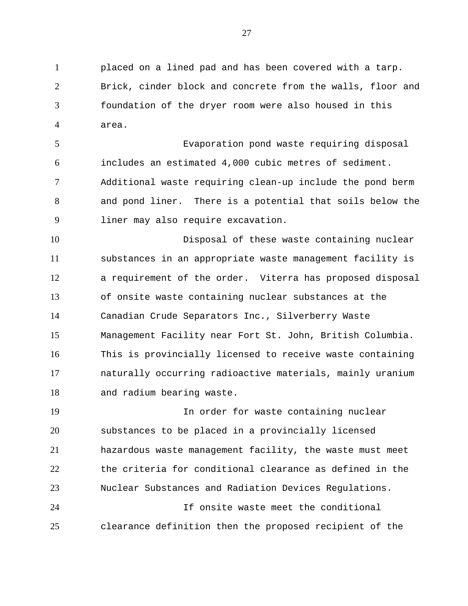1 2 3 4 placed on a lined pad and has been covered with a tarp. Brick, cinder block and concrete from the walls, floor and foundation of the dryer room were also housed in this area.

5 6 7 8 9 Evaporation pond waste requiring disposal includes an estimated 4,000 cubic metres of sediment. Additional waste requiring clean-up include the pond berm and pond liner. There is a potential that soils below the liner may also require excavation.

10 11 12 13 14 15 16 17 18 Disposal of these waste containing nuclear substances in an appropriate waste management facility is a requirement of the order. Viterra has proposed disposal of onsite waste containing nuclear substances at the Canadian Crude Separators Inc., Silverberry Waste Management Facility near Fort St. John, British Columbia. This is provincially licensed to receive waste containing naturally occurring radioactive materials, mainly uranium and radium bearing waste.

19 20 21 22 23 24 In order for waste containing nuclear substances to be placed in a provincially licensed hazardous waste management facility, the waste must meet the criteria for conditional clearance as defined in the Nuclear Substances and Radiation Devices Regulations. If onsite waste meet the conditional

clearance definition then the proposed recipient of the

25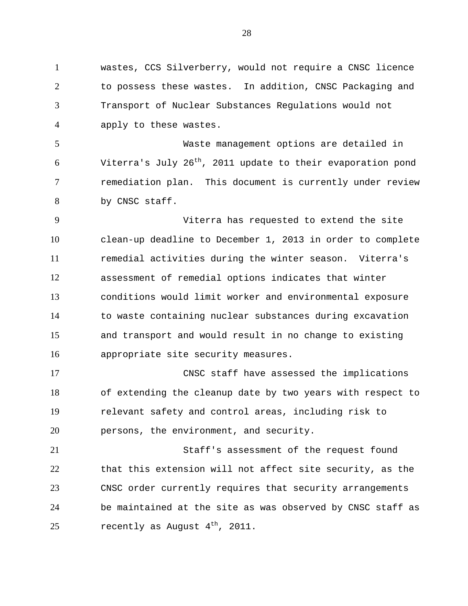1 2 3 4 wastes, CCS Silverberry, would not require a CNSC licence to possess these wastes. In addition, CNSC Packaging and Transport of Nuclear Substances Regulations would not apply to these wastes.

5 6 7 8 Waste management options are detailed in Viterra's July 26<sup>th</sup>, 2011 update to their evaporation pond remediation plan. This document is currently under review by CNSC staff.

9 10 11 12 13 14 15 16 Viterra has requested to extend the site clean-up deadline to December 1, 2013 in order to complete remedial activities during the winter season. Viterra's assessment of remedial options indicates that winter conditions would limit worker and environmental exposure to waste containing nuclear substances during excavation and transport and would result in no change to existing appropriate site security measures.

17 18 19 20 CNSC staff have assessed the implications of extending the cleanup date by two years with respect to relevant safety and control areas, including risk to persons, the environment, and security.

21 22 23 24 25 Staff's assessment of the request found that this extension will not affect site security, as the CNSC order currently requires that security arrangements be maintained at the site as was observed by CNSC staff as recently as August  $4<sup>th</sup>$ , 2011.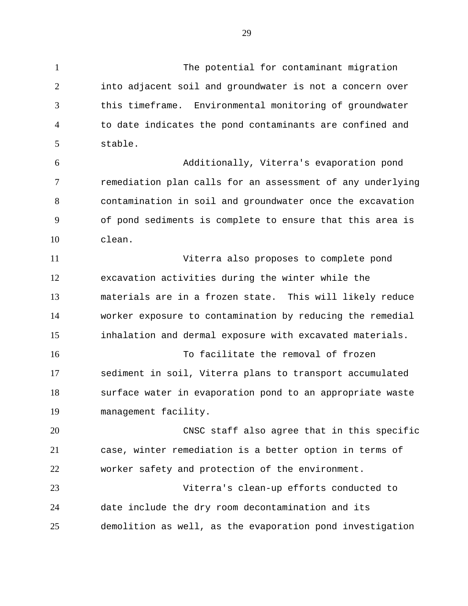29

The potential for contaminant migration

1

2 3 4 5 6 7 8 9 10 11 12 13 14 15 16 17 18 19 20 21 22 23 24 25 into adjacent soil and groundwater is not a concern over this timeframe. Environmental monitoring of groundwater to date indicates the pond contaminants are confined and stable. Additionally, Viterra's evaporation pond remediation plan calls for an assessment of any underlying contamination in soil and groundwater once the excavation of pond sediments is complete to ensure that this area is clean. Viterra also proposes to complete pond excavation activities during the winter while the materials are in a frozen state. This will likely reduce worker exposure to contamination by reducing the remedial inhalation and dermal exposure with excavated materials. To facilitate the removal of frozen sediment in soil, Viterra plans to transport accumulated surface water in evaporation pond to an appropriate waste management facility. CNSC staff also agree that in this specific case, winter remediation is a better option in terms of worker safety and protection of the environment. Viterra's clean-up efforts conducted to date include the dry room decontamination and its demolition as well, as the evaporation pond investigation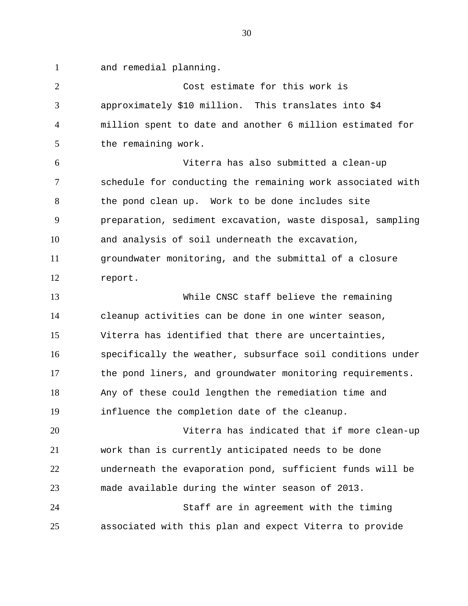1 and remedial planning.

2 3 4 5 Cost estimate for this work is approximately \$10 million. This translates into \$4 million spent to date and another 6 million estimated for the remaining work.

6 7 8 9 10 11 12 Viterra has also submitted a clean-up schedule for conducting the remaining work associated with the pond clean up. Work to be done includes site preparation, sediment excavation, waste disposal, sampling and analysis of soil underneath the excavation, groundwater monitoring, and the submittal of a closure report.

13 14 15 16 17 18 19 While CNSC staff believe the remaining cleanup activities can be done in one winter season, Viterra has identified that there are uncertainties, specifically the weather, subsurface soil conditions under the pond liners, and groundwater monitoring requirements. Any of these could lengthen the remediation time and influence the completion date of the cleanup.

20 21 22 23 24 Viterra has indicated that if more clean-up work than is currently anticipated needs to be done underneath the evaporation pond, sufficient funds will be made available during the winter season of 2013. Staff are in agreement with the timing

25 associated with this plan and expect Viterra to provide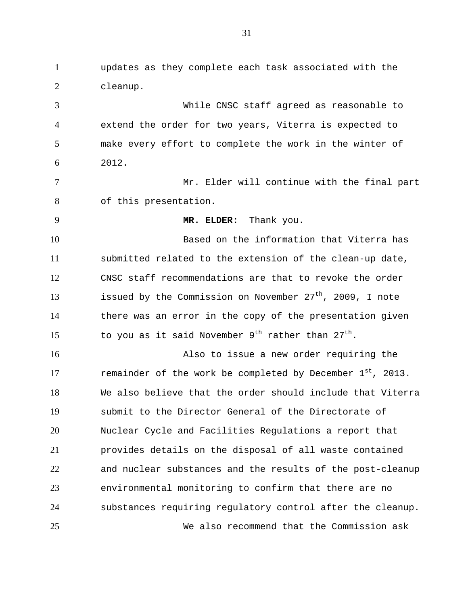1 2 3 4 5 6 7 8 9 10 11 12 13 14 15 16 17 18 19 20 21 22 23 24 25 updates as they complete each task associated with the cleanup. While CNSC staff agreed as reasonable to extend the order for two years, Viterra is expected to make every effort to complete the work in the winter of 2012. Mr. Elder will continue with the final part of this presentation. **MR. ELDER:** Thank you. Based on the information that Viterra has submitted related to the extension of the clean-up date, CNSC staff recommendations are that to revoke the order issued by the Commission on November  $27<sup>th</sup>$ , 2009, I note there was an error in the copy of the presentation given to you as it said November  $9^{th}$  rather than  $27^{th}$ . Also to issue a new order requiring the remainder of the work be completed by December  $1^{st}$ , 2013. We also believe that the order should include that Viterra submit to the Director General of the Directorate of Nuclear Cycle and Facilities Regulations a report that provides details on the disposal of all waste contained and nuclear substances and the results of the post-cleanup environmental monitoring to confirm that there are no substances requiring regulatory control after the cleanup. We also recommend that the Commission ask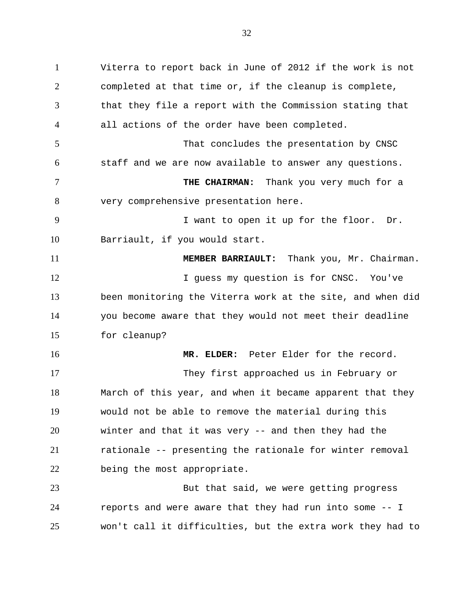1 2 3 4 5 6 7 8 9 10 11 12 13 14 15 16 17 18 19 20 21 22 23 24 Viterra to report back in June of 2012 if the work is not completed at that time or, if the cleanup is complete, that they file a report with the Commission stating that all actions of the order have been completed. That concludes the presentation by CNSC staff and we are now available to answer any questions. **THE CHAIRMAN:** Thank you very much for a very comprehensive presentation here. I want to open it up for the floor. Dr. Barriault, if you would start. **MEMBER BARRIAULT:** Thank you, Mr. Chairman. I guess my question is for CNSC. You've been monitoring the Viterra work at the site, and when did you become aware that they would not meet their deadline for cleanup? **MR. ELDER:** Peter Elder for the record. They first approached us in February or March of this year, and when it became apparent that they would not be able to remove the material during this winter and that it was very -- and then they had the rationale -- presenting the rationale for winter removal being the most appropriate. But that said, we were getting progress reports and were aware that they had run into some -- I

won't call it difficulties, but the extra work they had to

25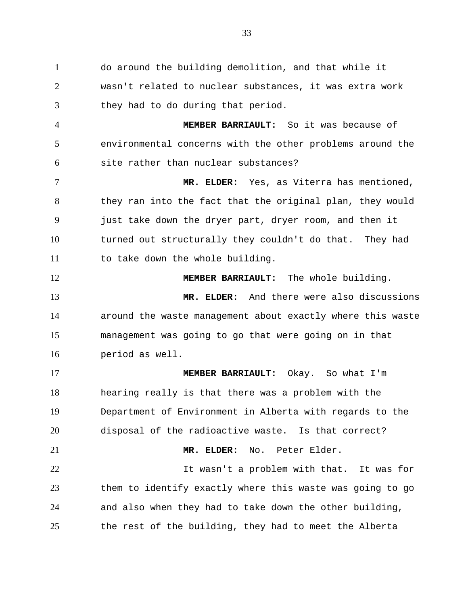1 2 3 do around the building demolition, and that while it wasn't related to nuclear substances, it was extra work they had to do during that period.

4 5 6 **MEMBER BARRIAULT:** So it was because of environmental concerns with the other problems around the site rather than nuclear substances?

7 8 9 10 11 **MR. ELDER:** Yes, as Viterra has mentioned, they ran into the fact that the original plan, they would just take down the dryer part, dryer room, and then it turned out structurally they couldn't do that. They had to take down the whole building.

12 13 14 15 16 **MEMBER BARRIAULT:** The whole building. **MR. ELDER:** And there were also discussions around the waste management about exactly where this waste management was going to go that were going on in that period as well.

17 18 19 20 21 22 23 **MEMBER BARRIAULT:** Okay. So what I'm hearing really is that there was a problem with the Department of Environment in Alberta with regards to the disposal of the radioactive waste. Is that correct? **MR. ELDER:** No. Peter Elder. It wasn't a problem with that. It was for them to identify exactly where this waste was going to go

24 25 and also when they had to take down the other building, the rest of the building, they had to meet the Alberta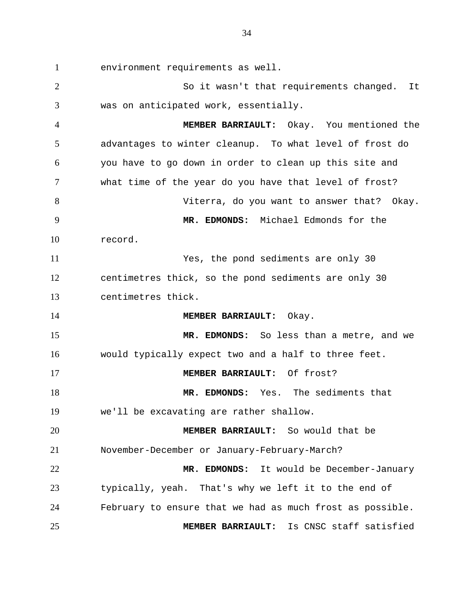1 2 3 4 5 6 7 8 9 10 11 12 13 14 15 16 17 18 19 20 21 22 23 24 25 environment requirements as well. So it wasn't that requirements changed. It was on anticipated work, essentially. **MEMBER BARRIAULT:** Okay. You mentioned the advantages to winter cleanup. To what level of frost do you have to go down in order to clean up this site and what time of the year do you have that level of frost? Viterra, do you want to answer that? Okay. **MR. EDMONDS:** Michael Edmonds for the record. Yes, the pond sediments are only 30 centimetres thick, so the pond sediments are only 30 centimetres thick. **MEMBER BARRIAULT:** Okay. **MR. EDMONDS:** So less than a metre, and we would typically expect two and a half to three feet. **MEMBER BARRIAULT:** Of frost? **MR. EDMONDS:** Yes. The sediments that we'll be excavating are rather shallow. **MEMBER BARRIAULT:** So would that be November-December or January-February-March? **MR. EDMONDS:** It would be December-January typically, yeah. That's why we left it to the end of February to ensure that we had as much frost as possible. **MEMBER BARRIAULT:** Is CNSC staff satisfied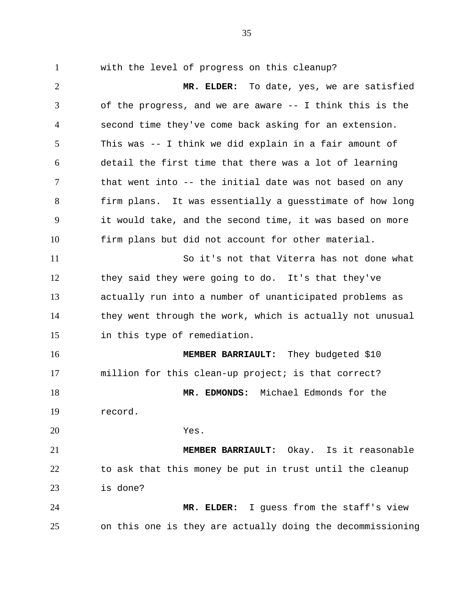1 2 3 4 5 6 7 8 9 10 11 12 13 14 15 16 17 18 19 20 21 22 23 24 25 with the level of progress on this cleanup? **MR. ELDER:** To date, yes, we are satisfied of the progress, and we are aware -- I think this is the second time they've come back asking for an extension. This was -- I think we did explain in a fair amount of detail the first time that there was a lot of learning that went into -- the initial date was not based on any firm plans. It was essentially a guesstimate of how long it would take, and the second time, it was based on more firm plans but did not account for other material. So it's not that Viterra has not done what they said they were going to do. It's that they've actually run into a number of unanticipated problems as they went through the work, which is actually not unusual in this type of remediation. **MEMBER BARRIAULT:** They budgeted \$10 million for this clean-up project; is that correct? **MR. EDMONDS:** Michael Edmonds for the record. Yes. **MEMBER BARRIAULT:** Okay. Is it reasonable to ask that this money be put in trust until the cleanup is done? **MR. ELDER:** I guess from the staff's view on this one is they are actually doing the decommissioning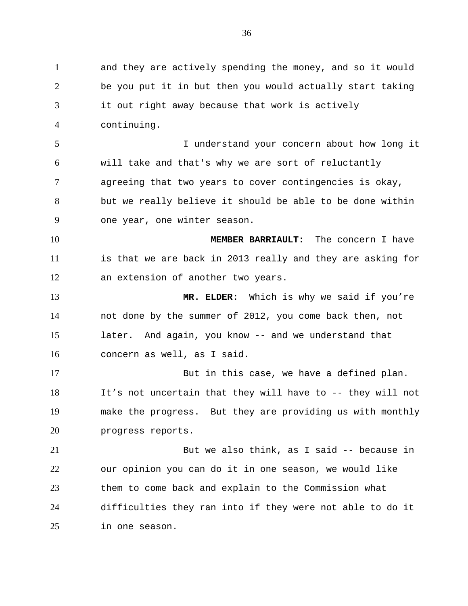1 2 3 4 5 6 7 8 9 10 11 12 13 14 15 16 17 18 19 20 21 22 23 24 25 and they are actively spending the money, and so it would be you put it in but then you would actually start taking it out right away because that work is actively continuing. I understand your concern about how long it will take and that's why we are sort of reluctantly agreeing that two years to cover contingencies is okay, but we really believe it should be able to be done within one year, one winter season. **MEMBER BARRIAULT:** The concern I have is that we are back in 2013 really and they are asking for an extension of another two years. **MR. ELDER:** Which is why we said if you're not done by the summer of 2012, you come back then, not later. And again, you know -- and we understand that concern as well, as I said. But in this case, we have a defined plan. It's not uncertain that they will have to -- they will not make the progress. But they are providing us with monthly progress reports. But we also think, as I said -- because in our opinion you can do it in one season, we would like them to come back and explain to the Commission what difficulties they ran into if they were not able to do it in one season.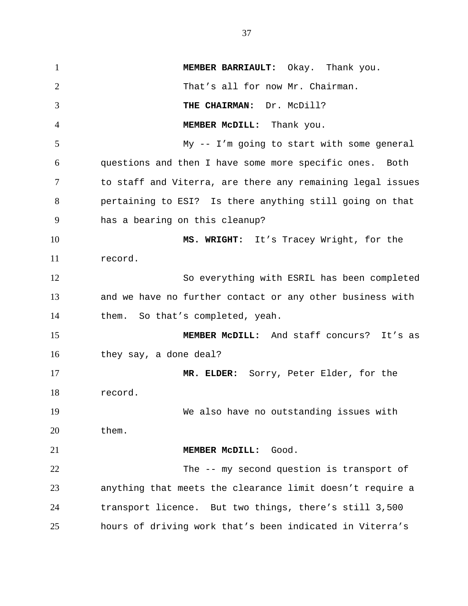1 2 3 4 5 6 7 8 9 10 11 12 13 14 15 16 17 18 19 20 21 22 23 24 25 **MEMBER BARRIAULT:** Okay. Thank you. That's all for now Mr. Chairman. **THE CHAIRMAN:** Dr. McDill? **MEMBER McDILL:** Thank you. My -- I'm going to start with some general questions and then I have some more specific ones. Both to staff and Viterra, are there any remaining legal issues pertaining to ESI? Is there anything still going on that has a bearing on this cleanup? **MS. WRIGHT:** It's Tracey Wright, for the record. So everything with ESRIL has been completed and we have no further contact or any other business with them. So that's completed, yeah. **MEMBER McDILL:** And staff concurs? It's as they say, a done deal? **MR. ELDER:** Sorry, Peter Elder, for the record. We also have no outstanding issues with them. **MEMBER McDILL:** Good. The -- my second question is transport of anything that meets the clearance limit doesn't require a transport licence. But two things, there's still 3,500 hours of driving work that's been indicated in Viterra's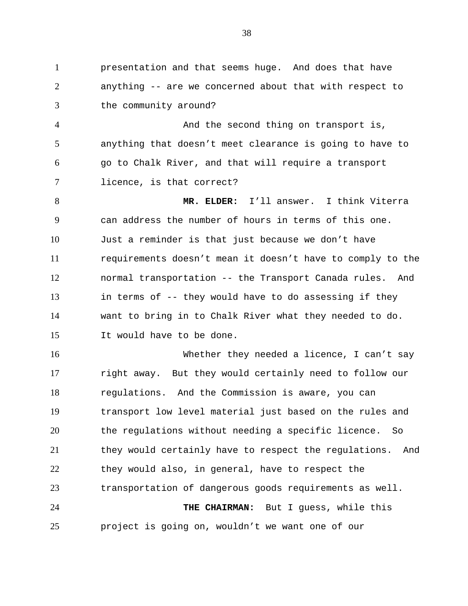1 2 3 presentation and that seems huge. And does that have anything -- are we concerned about that with respect to the community around?

4 5 6 7 And the second thing on transport is, anything that doesn't meet clearance is going to have to go to Chalk River, and that will require a transport licence, is that correct?

8 9 10 11 12 13 14 15 **MR. ELDER:** I'll answer. I think Viterra can address the number of hours in terms of this one. Just a reminder is that just because we don't have requirements doesn't mean it doesn't have to comply to the normal transportation -- the Transport Canada rules. And in terms of -- they would have to do assessing if they want to bring in to Chalk River what they needed to do. It would have to be done.

16 17 18 19 20 21 22 23 24 25 Whether they needed a licence, I can't say right away. But they would certainly need to follow our regulations. And the Commission is aware, you can transport low level material just based on the rules and the regulations without needing a specific licence. So they would certainly have to respect the regulations. And they would also, in general, have to respect the transportation of dangerous goods requirements as well. **THE CHAIRMAN:** But I guess, while this project is going on, wouldn't we want one of our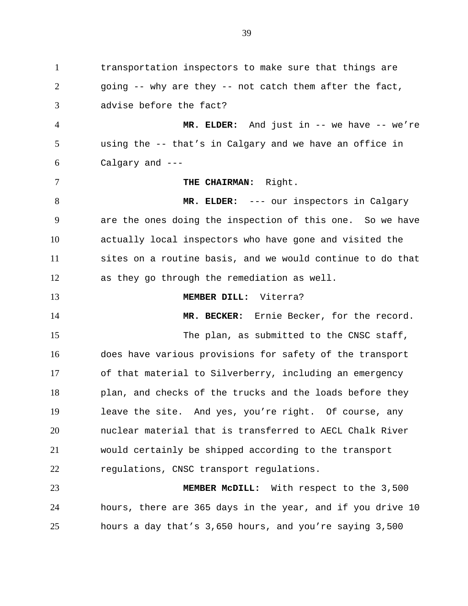1 2 3 4 5 6 7 8 9 10 11 12 13 14 15 16 17 18 19 20 21 22 23 24 transportation inspectors to make sure that things are going -- why are they -- not catch them after the fact, advise before the fact? **MR. ELDER:** And just in -- we have -- we're using the -- that's in Calgary and we have an office in Calgary and --- **THE CHAIRMAN:** Right. **MR. ELDER:** --- our inspectors in Calgary are the ones doing the inspection of this one. So we have actually local inspectors who have gone and visited the sites on a routine basis, and we would continue to do that as they go through the remediation as well. **MEMBER DILL:** Viterra? **MR. BECKER:** Ernie Becker, for the record. The plan, as submitted to the CNSC staff, does have various provisions for safety of the transport of that material to Silverberry, including an emergency plan, and checks of the trucks and the loads before they leave the site. And yes, you're right. Of course, any nuclear material that is transferred to AECL Chalk River would certainly be shipped according to the transport regulations, CNSC transport regulations. **MEMBER McDILL:** With respect to the 3,500 hours, there are 365 days in the year, and if you drive 10

hours a day that's 3,650 hours, and you're saying 3,500

25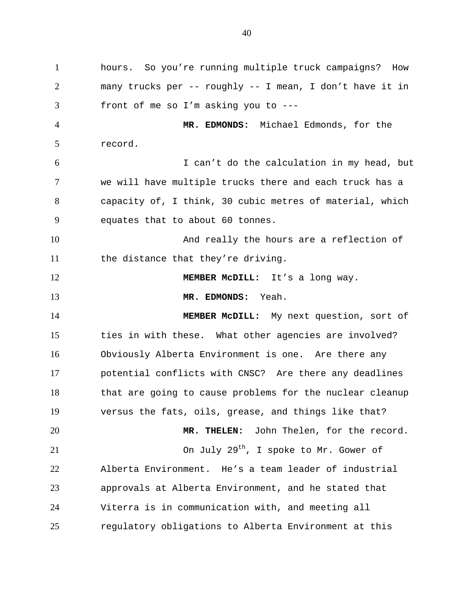1 2 3 4 5 6 7 8 9 10 11 12 13 14 15 16 17 18 19 20 21 22 23 24 25 hours. So you're running multiple truck campaigns? How many trucks per -- roughly -- I mean, I don't have it in front of me so I'm asking you to --- **MR. EDMONDS:** Michael Edmonds, for the record. I can't do the calculation in my head, but we will have multiple trucks there and each truck has a capacity of, I think, 30 cubic metres of material, which equates that to about 60 tonnes. And really the hours are a reflection of the distance that they're driving. **MEMBER McDILL:** It's a long way. **MR. EDMONDS:** Yeah. **MEMBER McDILL:** My next question, sort of ties in with these. What other agencies are involved? Obviously Alberta Environment is one. Are there any potential conflicts with CNSC? Are there any deadlines that are going to cause problems for the nuclear cleanup versus the fats, oils, grease, and things like that? **MR. THELEN:** John Thelen, for the record. On July  $29^{th}$ , I spoke to Mr. Gower of Alberta Environment. He's a team leader of industrial approvals at Alberta Environment, and he stated that Viterra is in communication with, and meeting all regulatory obligations to Alberta Environment at this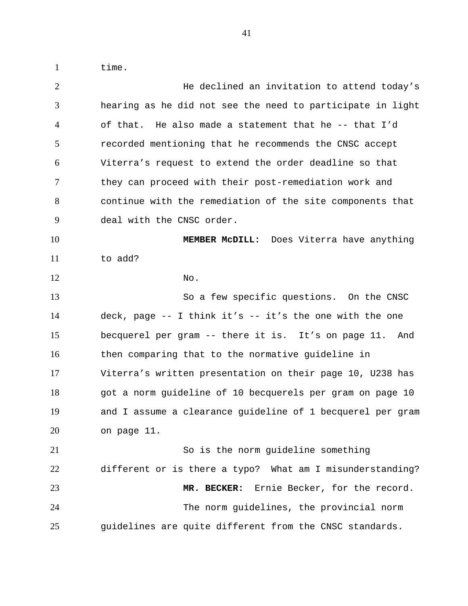time.

| $\overline{2}$ | He declined an invitation to attend today's                |
|----------------|------------------------------------------------------------|
| 3              | hearing as he did not see the need to participate in light |
| $\overline{4}$ | of that. He also made a statement that he -- that I'd      |
| 5              | recorded mentioning that he recommends the CNSC accept     |
| 6              | Viterra's request to extend the order deadline so that     |
| 7              | they can proceed with their post-remediation work and      |
| 8              | continue with the remediation of the site components that  |
| 9              | deal with the CNSC order.                                  |
| 10             | MEMBER MCDILL: Does Viterra have anything                  |
| 11             | to add?                                                    |
| 12             | No.                                                        |
| 13             | So a few specific questions. On the CNSC                   |
| 14             | deck, page $-$ I think it's $-$ it's the one with the one  |
| 15             | becquerel per gram -- there it is. It's on page 11. And    |
| 16             | then comparing that to the normative guideline in          |
| 17             | Viterra's written presentation on their page 10, U238 has  |
| 18             | got a norm guideline of 10 becquerels per gram on page 10  |
| 19             | and I assume a clearance guideline of 1 becquerel per gram |
| 20             | on page 11.                                                |
| 21             | So is the norm guideline something                         |
| 22             | different or is there a typo? What am I misunderstanding?  |
| 23             | Ernie Becker, for the record.<br>MR. BECKER:               |
| 24             | The norm guidelines, the provincial norm                   |
| 25             | guidelines are quite different from the CNSC standards.    |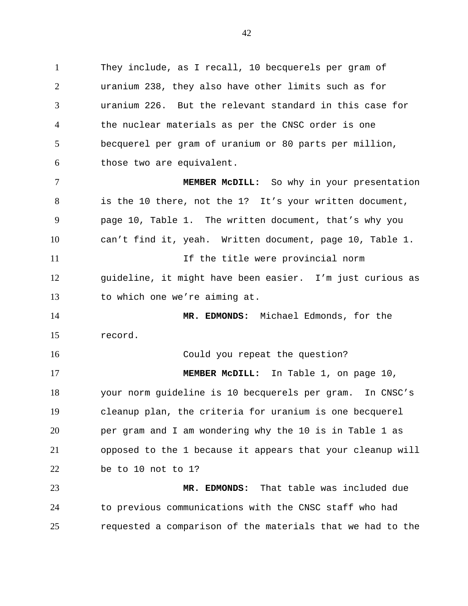1 2 3 4 5 6 They include, as I recall, 10 becquerels per gram of uranium 238, they also have other limits such as for uranium 226. But the relevant standard in this case for the nuclear materials as per the CNSC order is one becquerel per gram of uranium or 80 parts per million, those two are equivalent.

7 8 9 10 11 12 13 **MEMBER McDILL:** So why in your presentation is the 10 there, not the 1? It's your written document, page 10, Table 1. The written document, that's why you can't find it, yeah. Written document, page 10, Table 1. If the title were provincial norm guideline, it might have been easier. I'm just curious as to which one we're aiming at.

14 15 **MR. EDMONDS:** Michael Edmonds, for the record.

16 17 18 19 20 21 22 Could you repeat the question? **MEMBER McDILL:** In Table 1, on page 10, your norm guideline is 10 becquerels per gram. In CNSC's cleanup plan, the criteria for uranium is one becquerel per gram and I am wondering why the 10 is in Table 1 as opposed to the 1 because it appears that your cleanup will be to 10 not to 1?

23 24 25 **MR. EDMONDS:** That table was included due to previous communications with the CNSC staff who had requested a comparison of the materials that we had to the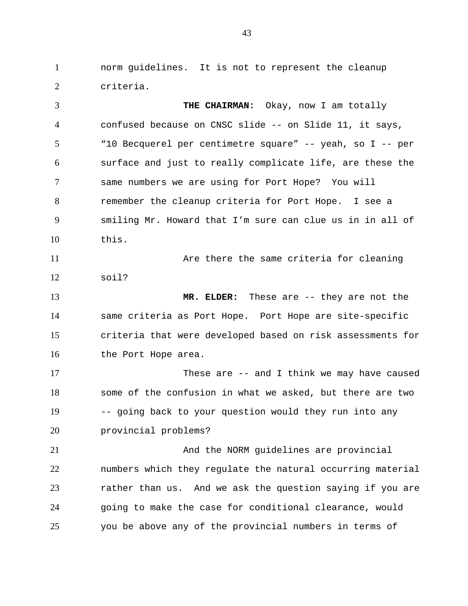1 2 norm guidelines. It is not to represent the cleanup criteria.

3 4 5 6 7 8 9 10 11 12 13 14 15 16 17 18 19 20 21 22 23 **THE CHAIRMAN:** Okay, now I am totally confused because on CNSC slide -- on Slide 11, it says, "10 Becquerel per centimetre square" -- yeah, so I -- per surface and just to really complicate life, are these the same numbers we are using for Port Hope? You will remember the cleanup criteria for Port Hope. I see a smiling Mr. Howard that I'm sure can clue us in in all of this. Are there the same criteria for cleaning soil? **MR. ELDER:** These are -- they are not the same criteria as Port Hope. Port Hope are site-specific criteria that were developed based on risk assessments for the Port Hope area. These are -- and I think we may have caused some of the confusion in what we asked, but there are two -- going back to your question would they run into any provincial problems? And the NORM guidelines are provincial numbers which they regulate the natural occurring material rather than us. And we ask the question saying if you are

25 you be above any of the provincial numbers in terms of

going to make the case for conditional clearance, would

24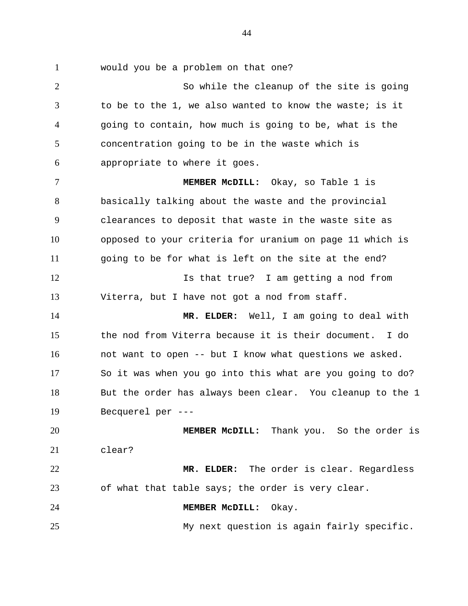1

would you be a problem on that one?

2 3 4 5 6 7 8 9 10 11 12 13 14 15 16 17 18 19 20 21 22 23 24 25 So while the cleanup of the site is going to be to the 1, we also wanted to know the waste; is it going to contain, how much is going to be, what is the concentration going to be in the waste which is appropriate to where it goes. **MEMBER McDILL:** Okay, so Table 1 is basically talking about the waste and the provincial clearances to deposit that waste in the waste site as opposed to your criteria for uranium on page 11 which is going to be for what is left on the site at the end? Is that true? I am getting a nod from Viterra, but I have not got a nod from staff. **MR. ELDER:** Well, I am going to deal with the nod from Viterra because it is their document. I do not want to open -- but I know what questions we asked. So it was when you go into this what are you going to do? But the order has always been clear. You cleanup to the 1 Becquerel per --- **MEMBER McDILL:** Thank you. So the order is clear? **MR. ELDER:** The order is clear. Regardless of what that table says; the order is very clear. **MEMBER McDILL:** Okay. My next question is again fairly specific.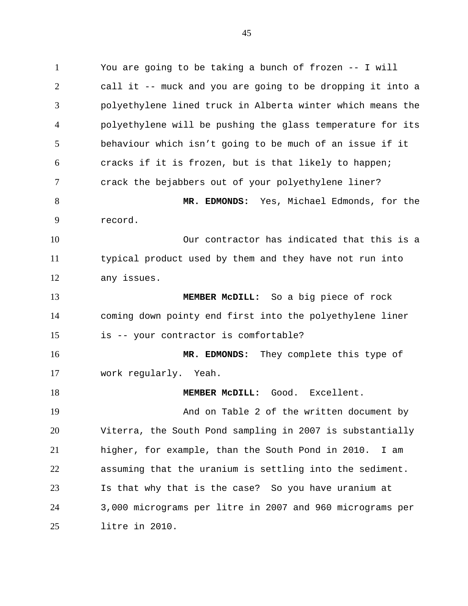1 2 3 4 5 6 7 8 9 10 11 12 13 14 15 16 17 18 19 20 21 22 23 24 You are going to be taking a bunch of frozen -- I will call it -- muck and you are going to be dropping it into a polyethylene lined truck in Alberta winter which means the polyethylene will be pushing the glass temperature for its behaviour which isn't going to be much of an issue if it cracks if it is frozen, but is that likely to happen; crack the bejabbers out of your polyethylene liner? **MR. EDMONDS:** Yes, Michael Edmonds, for the record. Our contractor has indicated that this is a typical product used by them and they have not run into any issues. **MEMBER McDILL:** So a big piece of rock coming down pointy end first into the polyethylene liner is -- your contractor is comfortable? **MR. EDMONDS:** They complete this type of work regularly. Yeah. **MEMBER McDILL:** Good. Excellent. And on Table 2 of the written document by Viterra, the South Pond sampling in 2007 is substantially higher, for example, than the South Pond in 2010. I am assuming that the uranium is settling into the sediment. Is that why that is the case? So you have uranium at 3,000 micrograms per litre in 2007 and 960 micrograms per

25

litre in 2010.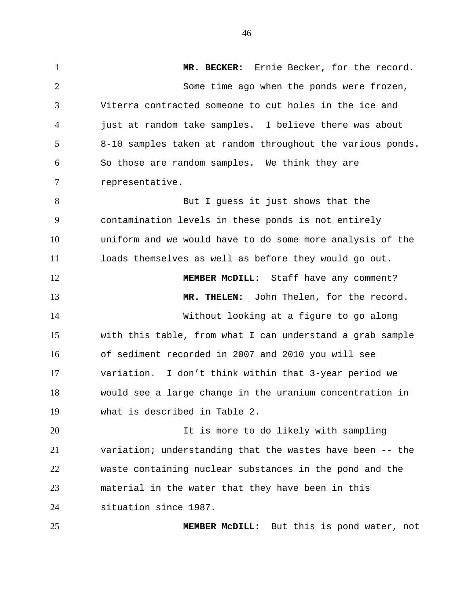1 2 3 4 5 6 7 8 9 10 11 12 13 14 15 16 17 18 19 20 21 **MR. BECKER:** Ernie Becker, for the record. Some time ago when the ponds were frozen, Viterra contracted someone to cut holes in the ice and just at random take samples. I believe there was about 8-10 samples taken at random throughout the various ponds. So those are random samples. We think they are representative. But I guess it just shows that the contamination levels in these ponds is not entirely uniform and we would have to do some more analysis of the loads themselves as well as before they would go out. **MEMBER McDILL:** Staff have any comment? **MR. THELEN:** John Thelen, for the record. Without looking at a figure to go along with this table, from what I can understand a grab sample of sediment recorded in 2007 and 2010 you will see variation. I don't think within that 3-year period we would see a large change in the uranium concentration in what is described in Table 2. It is more to do likely with sampling variation; understanding that the wastes have been -- the

22 23 24 waste containing nuclear substances in the pond and the material in the water that they have been in this situation since 1987.

25

**MEMBER McDILL:** But this is pond water, not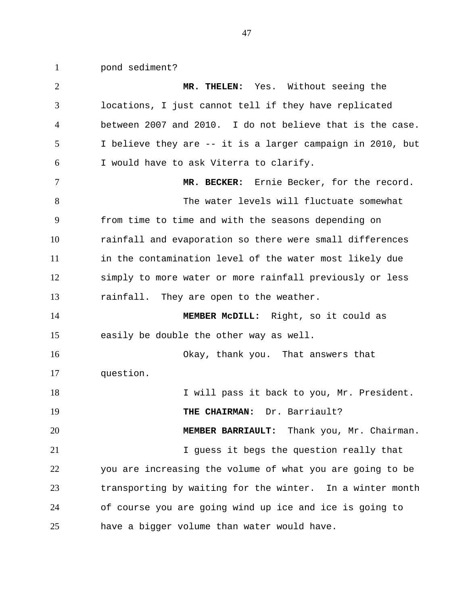pond sediment?

1

2 3 4 5 6 7 8 9 10 11 12 13 14 15 16 17 18 19 20 21 22 23 24 25 **MR. THELEN:** Yes. Without seeing the locations, I just cannot tell if they have replicated between 2007 and 2010. I do not believe that is the case. I believe they are -- it is a larger campaign in 2010, but I would have to ask Viterra to clarify. **MR. BECKER:** Ernie Becker, for the record. The water levels will fluctuate somewhat from time to time and with the seasons depending on rainfall and evaporation so there were small differences in the contamination level of the water most likely due simply to more water or more rainfall previously or less rainfall. They are open to the weather. **MEMBER McDILL:** Right, so it could as easily be double the other way as well. Okay, thank you. That answers that question. I will pass it back to you, Mr. President. **THE CHAIRMAN:** Dr. Barriault? **MEMBER BARRIAULT:** Thank you, Mr. Chairman. I guess it begs the question really that you are increasing the volume of what you are going to be transporting by waiting for the winter. In a winter month of course you are going wind up ice and ice is going to have a bigger volume than water would have.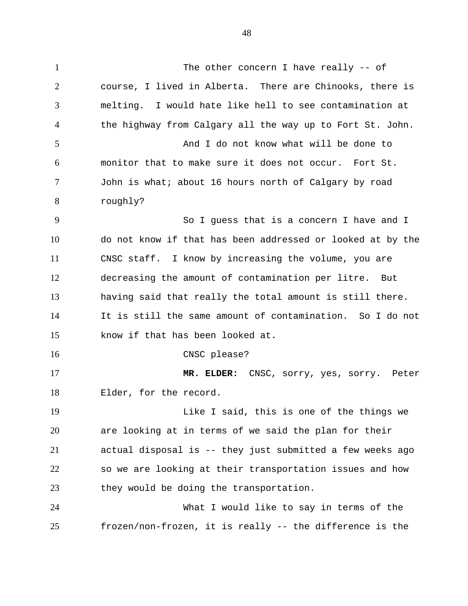1 2 3 4 5 6 7 8 9 10 11 12 13 14 15 16 17 18 19 20 21 22 23 24 25 The other concern I have really -- of course, I lived in Alberta. There are Chinooks, there is melting. I would hate like hell to see contamination at the highway from Calgary all the way up to Fort St. John. And I do not know what will be done to monitor that to make sure it does not occur. Fort St. John is what; about 16 hours north of Calgary by road roughly? So I guess that is a concern I have and I do not know if that has been addressed or looked at by the CNSC staff. I know by increasing the volume, you are decreasing the amount of contamination per litre. But having said that really the total amount is still there. It is still the same amount of contamination. So I do not know if that has been looked at. CNSC please? **MR. ELDER:** CNSC, sorry, yes, sorry. Peter Elder, for the record. Like I said, this is one of the things we are looking at in terms of we said the plan for their actual disposal is -- they just submitted a few weeks ago so we are looking at their transportation issues and how they would be doing the transportation. What I would like to say in terms of the frozen/non-frozen, it is really -- the difference is the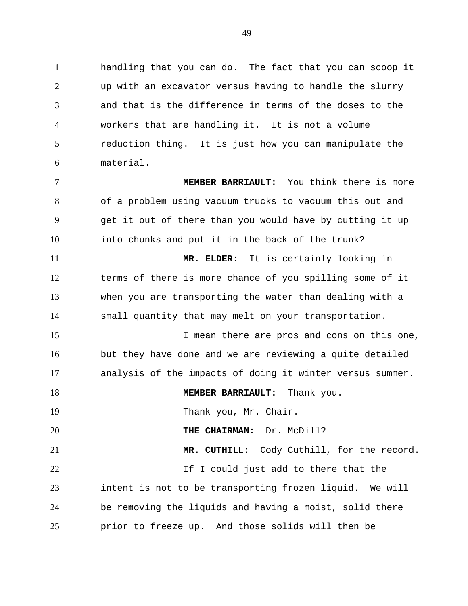1 2 3 4 5 6 handling that you can do. The fact that you can scoop it up with an excavator versus having to handle the slurry and that is the difference in terms of the doses to the workers that are handling it. It is not a volume reduction thing. It is just how you can manipulate the material.

7 8 9 10 11 12 13 14 15 **MEMBER BARRIAULT:** You think there is more of a problem using vacuum trucks to vacuum this out and get it out of there than you would have by cutting it up into chunks and put it in the back of the trunk? **MR. ELDER:** It is certainly looking in terms of there is more chance of you spilling some of it when you are transporting the water than dealing with a small quantity that may melt on your transportation.

16 17 I mean there are pros and cons on this one, but they have done and we are reviewing a quite detailed analysis of the impacts of doing it winter versus summer.

18 **MEMBER BARRIAULT:** Thank you.

19 Thank you, Mr. Chair.

20 **THE CHAIRMAN:** Dr. McDill?

21 22 23 24 25 **MR. CUTHILL:** Cody Cuthill, for the record. If I could just add to there that the intent is not to be transporting frozen liquid. We will be removing the liquids and having a moist, solid there prior to freeze up. And those solids will then be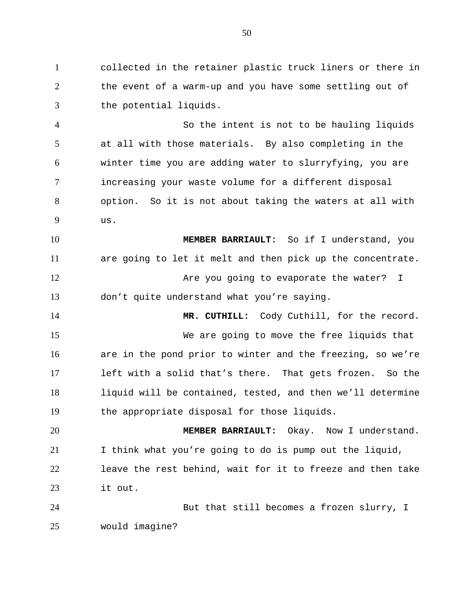1 2 3 collected in the retainer plastic truck liners or there in the event of a warm-up and you have some settling out of the potential liquids.

4 5 6 7 8 9 So the intent is not to be hauling liquids at all with those materials. By also completing in the winter time you are adding water to slurryfying, you are increasing your waste volume for a different disposal option. So it is not about taking the waters at all with  $11S.$ 

10 11 12 13 **MEMBER BARRIAULT:** So if I understand, you are going to let it melt and then pick up the concentrate. Are you going to evaporate the water? I don't quite understand what you're saying.

14 15 16 17 18 19 **MR. CUTHILL:** Cody Cuthill, for the record. We are going to move the free liquids that are in the pond prior to winter and the freezing, so we're left with a solid that's there. That gets frozen. So the liquid will be contained, tested, and then we'll determine the appropriate disposal for those liquids.

20 21 22 23 **MEMBER BARRIAULT:** Okay. Now I understand. I think what you're going to do is pump out the liquid, leave the rest behind, wait for it to freeze and then take it out.

24 25 But that still becomes a frozen slurry, I would imagine?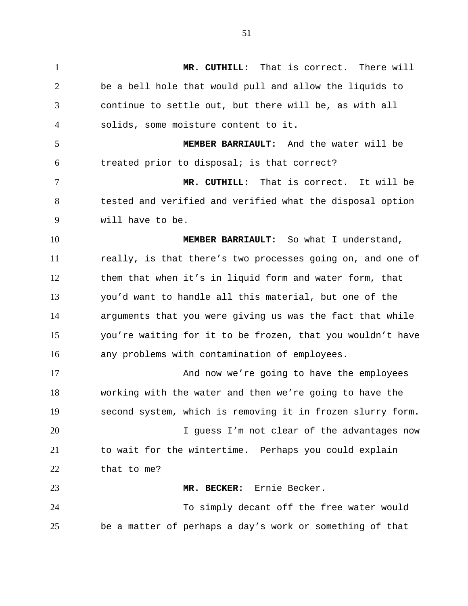1 2 3 4 5 6 7 8 9 10 11 12 13 14 15 16 17 18 19 20 21 22 23 24 25 **MR. CUTHILL:** That is correct. There will be a bell hole that would pull and allow the liquids to continue to settle out, but there will be, as with all solids, some moisture content to it. **MEMBER BARRIAULT:** And the water will be treated prior to disposal; is that correct? **MR. CUTHILL:** That is correct. It will be tested and verified and verified what the disposal option will have to be. **MEMBER BARRIAULT:** So what I understand, really, is that there's two processes going on, and one of them that when it's in liquid form and water form, that you'd want to handle all this material, but one of the arguments that you were giving us was the fact that while you're waiting for it to be frozen, that you wouldn't have any problems with contamination of employees. And now we're going to have the employees working with the water and then we're going to have the second system, which is removing it in frozen slurry form. I guess I'm not clear of the advantages now to wait for the wintertime. Perhaps you could explain that to me? **MR. BECKER:** Ernie Becker. To simply decant off the free water would be a matter of perhaps a day's work or something of that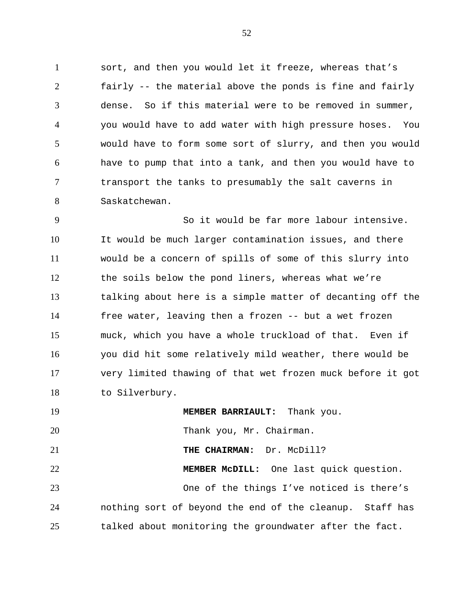1 2 3 4 5 6 7 8 sort, and then you would let it freeze, whereas that's fairly -- the material above the ponds is fine and fairly dense. So if this material were to be removed in summer, you would have to add water with high pressure hoses. You would have to form some sort of slurry, and then you would have to pump that into a tank, and then you would have to transport the tanks to presumably the salt caverns in Saskatchewan.

9 10 11 12 13 14 15 16 17 18 So it would be far more labour intensive. It would be much larger contamination issues, and there would be a concern of spills of some of this slurry into the soils below the pond liners, whereas what we're talking about here is a simple matter of decanting off the free water, leaving then a frozen -- but a wet frozen muck, which you have a whole truckload of that. Even if you did hit some relatively mild weather, there would be very limited thawing of that wet frozen muck before it got to Silverbury.

19 20 21 22 23 24 25 **MEMBER BARRIAULT:** Thank you. Thank you, Mr. Chairman. **THE CHAIRMAN:** Dr. McDill? **MEMBER McDILL:** One last quick question. One of the things I've noticed is there's nothing sort of beyond the end of the cleanup. Staff has talked about monitoring the groundwater after the fact.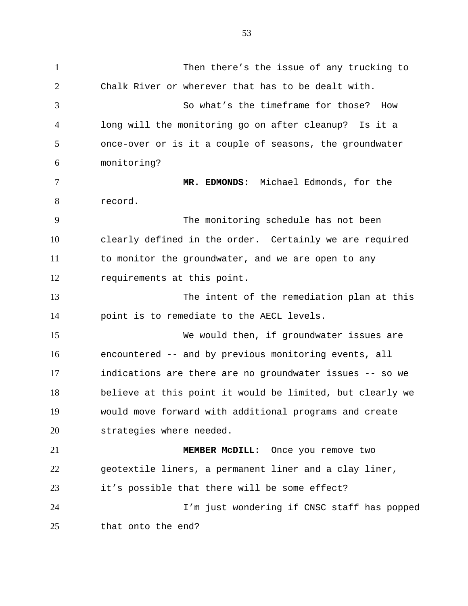1 2 3 4 5 6 7 8 9 10 11 12 13 14 15 16 17 18 19 20 21 22 23 24 25 Then there's the issue of any trucking to Chalk River or wherever that has to be dealt with. So what's the timeframe for those? How long will the monitoring go on after cleanup? Is it a once-over or is it a couple of seasons, the groundwater monitoring? **MR. EDMONDS:** Michael Edmonds, for the record. The monitoring schedule has not been clearly defined in the order. Certainly we are required to monitor the groundwater, and we are open to any requirements at this point. The intent of the remediation plan at this point is to remediate to the AECL levels. We would then, if groundwater issues are encountered -- and by previous monitoring events, all indications are there are no groundwater issues -- so we believe at this point it would be limited, but clearly we would move forward with additional programs and create strategies where needed. **MEMBER McDILL:** Once you remove two geotextile liners, a permanent liner and a clay liner, it's possible that there will be some effect? I'm just wondering if CNSC staff has popped that onto the end?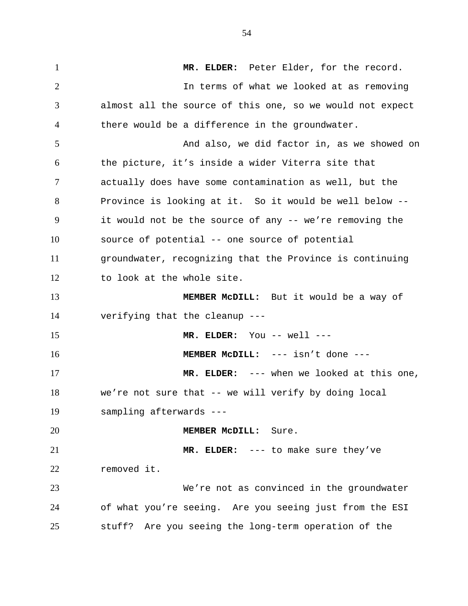1 2 3 4 5 6 7 8 9 10 11 12 13 14 15 16 17 18 19 20 21 22 23 24 25 **MR. ELDER:** Peter Elder, for the record. In terms of what we looked at as removing almost all the source of this one, so we would not expect there would be a difference in the groundwater. And also, we did factor in, as we showed on the picture, it's inside a wider Viterra site that actually does have some contamination as well, but the Province is looking at it. So it would be well below - it would not be the source of any -- we're removing the source of potential -- one source of potential groundwater, recognizing that the Province is continuing to look at the whole site. **MEMBER McDILL:** But it would be a way of verifying that the cleanup --- **MR. ELDER:** You -- well --- **MEMBER McDILL:** --- isn't done --- **MR. ELDER:** --- when we looked at this one, we're not sure that -- we will verify by doing local sampling afterwards --- **MEMBER McDILL:** Sure. **MR. ELDER:** --- to make sure they've removed it. We're not as convinced in the groundwater of what you're seeing. Are you seeing just from the ESI stuff? Are you seeing the long-term operation of the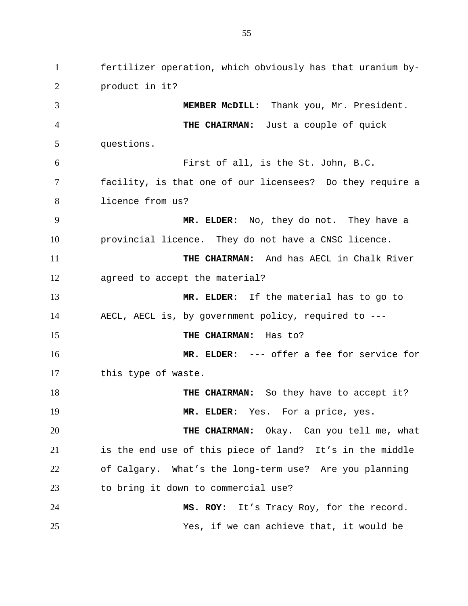1 2 3 4 5 6 7 8 9 10 11 12 13 14 15 16 17 18 19 20 21 22 23 24 25 fertilizer operation, which obviously has that uranium byproduct in it? **MEMBER McDILL:** Thank you, Mr. President. **THE CHAIRMAN:** Just a couple of quick questions. First of all, is the St. John, B.C. facility, is that one of our licensees? Do they require a licence from us? **MR. ELDER:** No, they do not. They have a provincial licence. They do not have a CNSC licence. **THE CHAIRMAN:** And has AECL in Chalk River agreed to accept the material? **MR. ELDER:** If the material has to go to AECL, AECL is, by government policy, required to --- **THE CHAIRMAN:** Has to? **MR. ELDER:** --- offer a fee for service for this type of waste. **THE CHAIRMAN:** So they have to accept it? **MR. ELDER:** Yes. For a price, yes. **THE CHAIRMAN:** Okay. Can you tell me, what is the end use of this piece of land? It's in the middle of Calgary. What's the long-term use? Are you planning to bring it down to commercial use? **MS. ROY:** It's Tracy Roy, for the record. Yes, if we can achieve that, it would be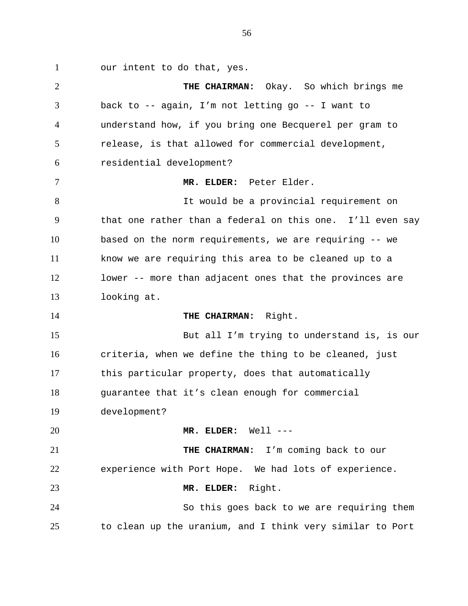1 our intent to do that, yes.

2 3 4 5 6 7 8 9 10 11 12 13 14 15 16 17 18 19 20 21 22 23 24 25 **THE CHAIRMAN:** Okay. So which brings me back to -- again, I'm not letting go -- I want to understand how, if you bring one Becquerel per gram to release, is that allowed for commercial development, residential development? **MR. ELDER:** Peter Elder. It would be a provincial requirement on that one rather than a federal on this one. I'll even say based on the norm requirements, we are requiring -- we know we are requiring this area to be cleaned up to a lower -- more than adjacent ones that the provinces are looking at. **THE CHAIRMAN:** Right. But all I'm trying to understand is, is our criteria, when we define the thing to be cleaned, just this particular property, does that automatically guarantee that it's clean enough for commercial development? **MR. ELDER:** Well --- **THE CHAIRMAN:** I'm coming back to our experience with Port Hope. We had lots of experience. **MR. ELDER:** Right. So this goes back to we are requiring them to clean up the uranium, and I think very similar to Port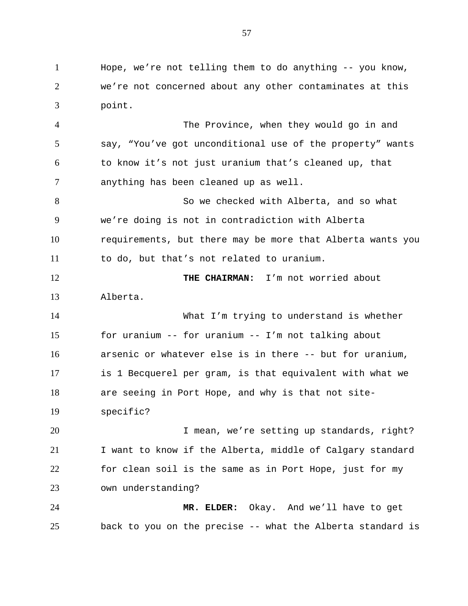1 2 3 Hope, we're not telling them to do anything -- you know, we're not concerned about any other contaminates at this point.

4 5 6 7 The Province, when they would go in and say, "You've got unconditional use of the property" wants to know it's not just uranium that's cleaned up, that anything has been cleaned up as well.

8 9 10 11 So we checked with Alberta, and so what we're doing is not in contradiction with Alberta requirements, but there may be more that Alberta wants you to do, but that's not related to uranium.

12 13 **THE CHAIRMAN:** I'm not worried about Alberta.

14 15 16 17 18 19 What I'm trying to understand is whether for uranium -- for uranium -- I'm not talking about arsenic or whatever else is in there -- but for uranium, is 1 Becquerel per gram, is that equivalent with what we are seeing in Port Hope, and why is that not sitespecific?

20 21 22 23 I mean, we're setting up standards, right? I want to know if the Alberta, middle of Calgary standard for clean soil is the same as in Port Hope, just for my own understanding?

24 25 **MR. ELDER:** Okay. And we'll have to get back to you on the precise -- what the Alberta standard is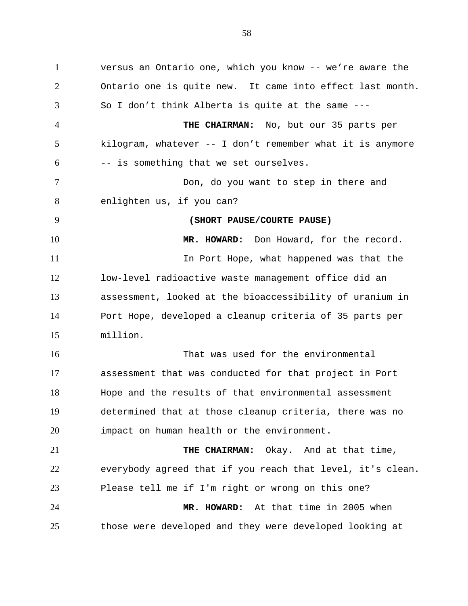1 2 3 4 5 6 7 8 9 10 11 12 13 14 15 16 17 18 19 20 21 22 23 24 25 versus an Ontario one, which you know -- we're aware the Ontario one is quite new. It came into effect last month. So I don't think Alberta is quite at the same --- **THE CHAIRMAN:** No, but our 35 parts per kilogram, whatever -- I don't remember what it is anymore -- is something that we set ourselves. Don, do you want to step in there and enlighten us, if you can? **(SHORT PAUSE/COURTE PAUSE) MR. HOWARD:** Don Howard, for the record. In Port Hope, what happened was that the low-level radioactive waste management office did an assessment, looked at the bioaccessibility of uranium in Port Hope, developed a cleanup criteria of 35 parts per million. That was used for the environmental assessment that was conducted for that project in Port Hope and the results of that environmental assessment determined that at those cleanup criteria, there was no impact on human health or the environment. **THE CHAIRMAN:** Okay. And at that time, everybody agreed that if you reach that level, it's clean. Please tell me if I'm right or wrong on this one? **MR. HOWARD:** At that time in 2005 when those were developed and they were developed looking at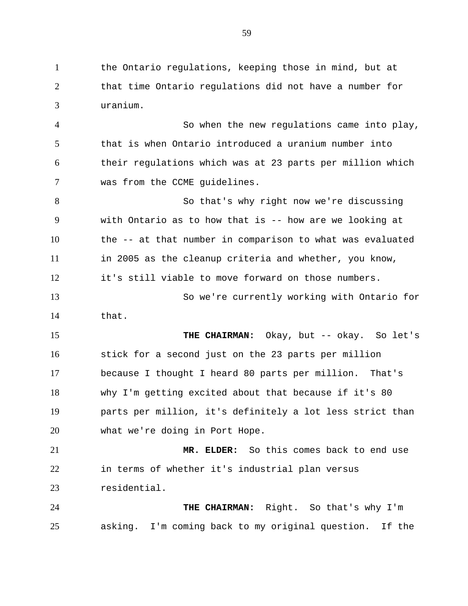1 2 3 the Ontario regulations, keeping those in mind, but at that time Ontario regulations did not have a number for uranium.

4 5 6 7 So when the new regulations came into play, that is when Ontario introduced a uranium number into their regulations which was at 23 parts per million which was from the CCME guidelines.

8 9 10 11 12 So that's why right now we're discussing with Ontario as to how that is -- how are we looking at the -- at that number in comparison to what was evaluated in 2005 as the cleanup criteria and whether, you know, it's still viable to move forward on those numbers.

13 14 So we're currently working with Ontario for that.

15 16 17 18 19 20 THE CHAIRMAN: Okay, but -- okay. So let's stick for a second just on the 23 parts per million because I thought I heard 80 parts per million. That's why I'm getting excited about that because if it's 80 parts per million, it's definitely a lot less strict than what we're doing in Port Hope.

21 22 23 **MR. ELDER:** So this comes back to end use in terms of whether it's industrial plan versus residential.

24 25 **THE CHAIRMAN:** Right. So that's why I'm asking. I'm coming back to my original question. If the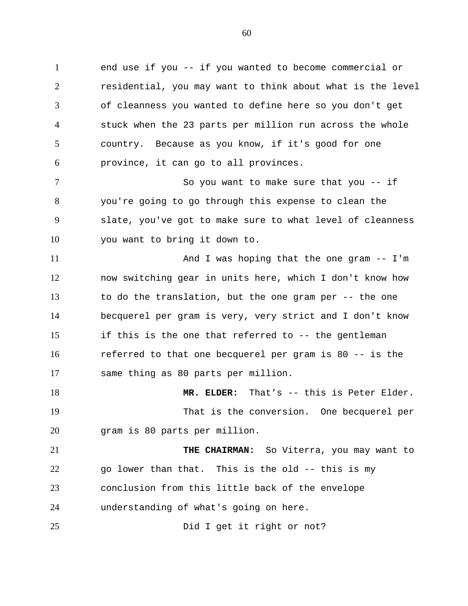1 2 3 4 5 6 end use if you -- if you wanted to become commercial or residential, you may want to think about what is the level of cleanness you wanted to define here so you don't get stuck when the 23 parts per million run across the whole country. Because as you know, if it's good for one province, it can go to all provinces.

7 8 9 10 So you want to make sure that you -- if you're going to go through this expense to clean the slate, you've got to make sure to what level of cleanness you want to bring it down to.

11 12 13 14 15 16 17 And I was hoping that the one gram -- I'm now switching gear in units here, which I don't know how to do the translation, but the one gram per -- the one becquerel per gram is very, very strict and I don't know if this is the one that referred to -- the gentleman referred to that one becquerel per gram is 80 -- is the same thing as 80 parts per million.

18 19 20 **MR. ELDER:** That's -- this is Peter Elder. That is the conversion. One becquerel per gram is 80 parts per million.

21 22 23 24 **THE CHAIRMAN:** So Viterra, you may want to go lower than that. This is the old -- this is my conclusion from this little back of the envelope understanding of what's going on here.

25 Did I get it right or not?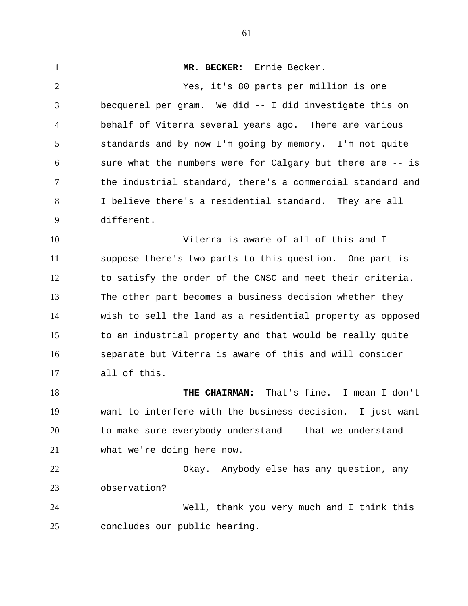1 2 3 4 5 6 7 8 9 10 11 12 13 14 15 16 17 18 19 20 21 22 23 24 25 **MR. BECKER:** Ernie Becker. Yes, it's 80 parts per million is one becquerel per gram. We did -- I did investigate this on behalf of Viterra several years ago. There are various standards and by now I'm going by memory. I'm not quite sure what the numbers were for Calgary but there are -- is the industrial standard, there's a commercial standard and I believe there's a residential standard. They are all different. Viterra is aware of all of this and I suppose there's two parts to this question. One part is to satisfy the order of the CNSC and meet their criteria. The other part becomes a business decision whether they wish to sell the land as a residential property as opposed to an industrial property and that would be really quite separate but Viterra is aware of this and will consider all of this. **THE CHAIRMAN:** That's fine. I mean I don't want to interfere with the business decision. I just want to make sure everybody understand -- that we understand what we're doing here now. Okay. Anybody else has any question, any observation? Well, thank you very much and I think this concludes our public hearing.